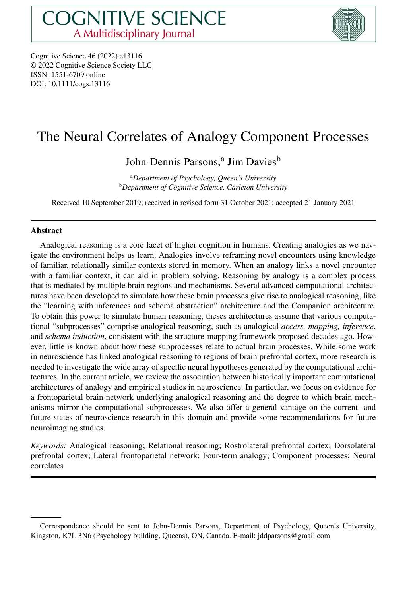

Cognitive Science 46 (2022) e13116 © 2022 Cognitive Science Society LLC ISSN: 1551-6709 online DOI: 10.1111/cogs.13116

# The Neural Correlates of Analogy Component Processes

John-Dennis Parsons,<sup>a</sup> Jim Davies<sup>b</sup>

a *Department of Psychology, Queen's University* <sup>b</sup>*Department of Cognitive Science, Carleton University*

Received 10 September 2019; received in revised form 31 October 2021; accepted 21 January 2021

#### **Abstract**

Analogical reasoning is a core facet of higher cognition in humans. Creating analogies as we navigate the environment helps us learn. Analogies involve reframing novel encounters using knowledge of familiar, relationally similar contexts stored in memory. When an analogy links a novel encounter with a familiar context, it can aid in problem solving. Reasoning by analogy is a complex process that is mediated by multiple brain regions and mechanisms. Several advanced computational architectures have been developed to simulate how these brain processes give rise to analogical reasoning, like the "learning with inferences and schema abstraction" architecture and the Companion architecture. To obtain this power to simulate human reasoning, theses architectures assume that various computational "subprocesses" comprise analogical reasoning, such as analogical *access, mapping, inference*, and *schema induction*, consistent with the structure-mapping framework proposed decades ago. However, little is known about how these subprocesses relate to actual brain processes. While some work in neuroscience has linked analogical reasoning to regions of brain prefrontal cortex, more research is needed to investigate the wide array of specific neural hypotheses generated by the computational architectures. In the current article, we review the association between historically important computational architectures of analogy and empirical studies in neuroscience. In particular, we focus on evidence for a frontoparietal brain network underlying analogical reasoning and the degree to which brain mechanisms mirror the computational subprocesses. We also offer a general vantage on the current- and future-states of neuroscience research in this domain and provide some recommendations for future neuroimaging studies.

*Keywords:* Analogical reasoning; Relational reasoning; Rostrolateral prefrontal cortex; Dorsolateral prefrontal cortex; Lateral frontoparietal network; Four-term analogy; Component processes; Neural correlates

Correspondence should be sent to John-Dennis Parsons, Department of Psychology, Queen's University, Kingston, K7L 3N6 (Psychology building, Queens), ON, Canada. E-mail: jddparsons@gmail.com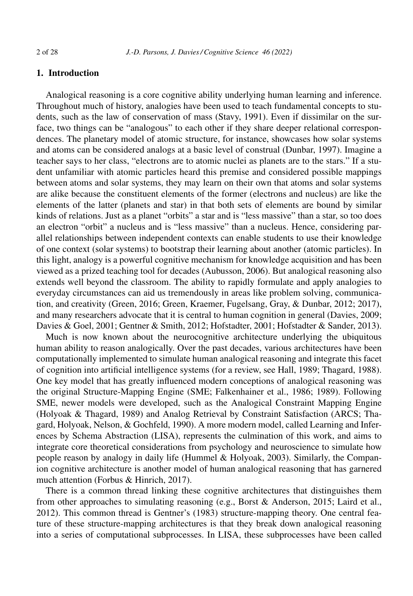# **1. Introduction**

Analogical reasoning is a core cognitive ability underlying human learning and inference. Throughout much of history, analogies have been used to teach fundamental concepts to students, such as the law of conservation of mass (Stavy, 1991). Even if dissimilar on the surface, two things can be "analogous" to each other if they share deeper relational correspondences. The planetary model of atomic structure, for instance, showcases how solar systems and atoms can be considered analogs at a basic level of construal (Dunbar, 1997). Imagine a teacher says to her class, "electrons are to atomic nuclei as planets are to the stars." If a student unfamiliar with atomic particles heard this premise and considered possible mappings between atoms and solar systems, they may learn on their own that atoms and solar systems are alike because the constituent elements of the former (electrons and nucleus) are like the elements of the latter (planets and star) in that both sets of elements are bound by similar kinds of relations. Just as a planet "orbits" a star and is "less massive" than a star, so too does an electron "orbit" a nucleus and is "less massive" than a nucleus. Hence, considering parallel relationships between independent contexts can enable students to use their knowledge of one context (solar systems) to bootstrap their learning about another (atomic particles). In this light, analogy is a powerful cognitive mechanism for knowledge acquisition and has been viewed as a prized teaching tool for decades (Aubusson, 2006). But analogical reasoning also extends well beyond the classroom. The ability to rapidly formulate and apply analogies to everyday circumstances can aid us tremendously in areas like problem solving, communication, and creativity (Green, 2016; Green, Kraemer, Fugelsang, Gray, & Dunbar, 2012; 2017), and many researchers advocate that it is central to human cognition in general (Davies, 2009; Davies & Goel, 2001; Gentner & Smith, 2012; Hofstadter, 2001; Hofstadter & Sander, 2013).

Much is now known about the neurocognitive architecture underlying the ubiquitous human ability to reason analogically. Over the past decades, various architectures have been computationally implemented to simulate human analogical reasoning and integrate this facet of cognition into artificial intelligence systems (for a review, see Hall, 1989; Thagard, 1988). One key model that has greatly influenced modern conceptions of analogical reasoning was the original Structure-Mapping Engine (SME; Falkenhainer et al., 1986; 1989). Following SME, newer models were developed, such as the Analogical Constraint Mapping Engine (Holyoak & Thagard, 1989) and Analog Retrieval by Constraint Satisfaction (ARCS; Thagard, Holyoak, Nelson, & Gochfeld, 1990). A more modern model, called Learning and Inferences by Schema Abstraction (LISA), represents the culmination of this work, and aims to integrate core theoretical considerations from psychology and neuroscience to simulate how people reason by analogy in daily life (Hummel & Holyoak, 2003). Similarly, the Companion cognitive architecture is another model of human analogical reasoning that has garnered much attention (Forbus & Hinrich, 2017).

There is a common thread linking these cognitive architectures that distinguishes them from other approaches to simulating reasoning (e.g., Borst & Anderson, 2015; Laird et al., 2012). This common thread is Gentner's (1983) structure-mapping theory. One central feature of these structure-mapping architectures is that they break down analogical reasoning into a series of computational subprocesses. In LISA, these subprocesses have been called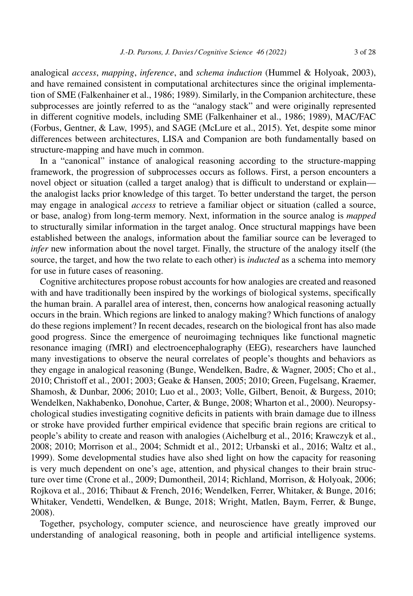analogical *access*, *mapping*, *inference*, and *schema induction* (Hummel & Holyoak, 2003), and have remained consistent in computational architectures since the original implementation of SME (Falkenhainer et al., 1986; 1989). Similarly, in the Companion architecture, these subprocesses are jointly referred to as the "analogy stack" and were originally represented in different cognitive models, including SME (Falkenhainer et al., 1986; 1989), MAC/FAC (Forbus, Gentner, & Law, 1995), and SAGE (McLure et al., 2015). Yet, despite some minor differences between architectures, LISA and Companion are both fundamentally based on structure-mapping and have much in common.

In a "canonical" instance of analogical reasoning according to the structure-mapping framework, the progression of subprocesses occurs as follows. First, a person encounters a novel object or situation (called a target analog) that is difficult to understand or explain the analogist lacks prior knowledge of this target. To better understand the target, the person may engage in analogical *access* to retrieve a familiar object or situation (called a source, or base, analog) from long-term memory. Next, information in the source analog is *mapped* to structurally similar information in the target analog. Once structural mappings have been established between the analogs, information about the familiar source can be leveraged to *infer* new information about the novel target. Finally, the structure of the analogy itself (the source, the target, and how the two relate to each other) is *inducted* as a schema into memory for use in future cases of reasoning.

Cognitive architectures propose robust accounts for how analogies are created and reasoned with and have traditionally been inspired by the workings of biological systems, specifically the human brain. A parallel area of interest, then, concerns how analogical reasoning actually occurs in the brain. Which regions are linked to analogy making? Which functions of analogy do these regions implement? In recent decades, research on the biological front has also made good progress. Since the emergence of neuroimaging techniques like functional magnetic resonance imaging (fMRI) and electroencephalography (EEG), researchers have launched many investigations to observe the neural correlates of people's thoughts and behaviors as they engage in analogical reasoning (Bunge, Wendelken, Badre, & Wagner, 2005; Cho et al., 2010; Christoff et al., 2001; 2003; Geake & Hansen, 2005; 2010; Green, Fugelsang, Kraemer, Shamosh, & Dunbar, 2006; 2010; Luo et al., 2003; Volle, Gilbert, Benoit, & Burgess, 2010; Wendelken, Nakhabenko, Donohue, Carter, & Bunge, 2008; Wharton et al., 2000). Neuropsychological studies investigating cognitive deficits in patients with brain damage due to illness or stroke have provided further empirical evidence that specific brain regions are critical to people's ability to create and reason with analogies (Aichelburg et al., 2016; Krawczyk et al., 2008; 2010; Morrison et al., 2004; Schmidt et al., 2012; Urbanski et al., 2016; Waltz et al., 1999). Some developmental studies have also shed light on how the capacity for reasoning is very much dependent on one's age, attention, and physical changes to their brain structure over time (Crone et al., 2009; Dumontheil, 2014; Richland, Morrison, & Holyoak, 2006; Rojkova et al., 2016; Thibaut & French, 2016; Wendelken, Ferrer, Whitaker, & Bunge, 2016; Whitaker, Vendetti, Wendelken, & Bunge, 2018; Wright, Matlen, Baym, Ferrer, & Bunge, 2008).

Together, psychology, computer science, and neuroscience have greatly improved our understanding of analogical reasoning, both in people and artificial intelligence systems.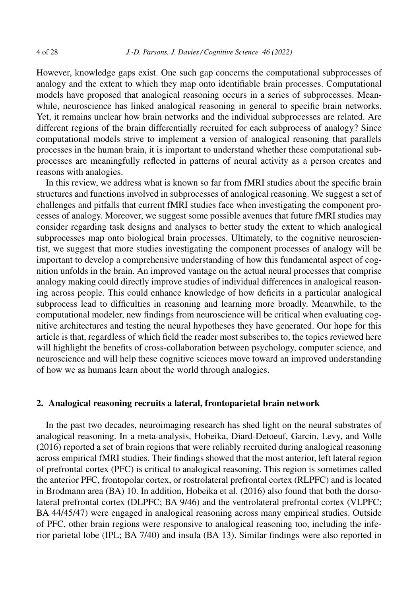However, knowledge gaps exist. One such gap concerns the computational subprocesses of analogy and the extent to which they map onto identifiable brain processes. Computational models have proposed that analogical reasoning occurs in a series of subprocesses. Meanwhile, neuroscience has linked analogical reasoning in general to specific brain networks. Yet, it remains unclear how brain networks and the individual subprocesses are related. Are different regions of the brain differentially recruited for each subprocess of analogy? Since computational models strive to implement a version of analogical reasoning that parallels processes in the human brain, it is important to understand whether these computational subprocesses are meaningfully reflected in patterns of neural activity as a person creates and reasons with analogies.

In this review, we address what is known so far from fMRI studies about the specific brain structures and functions involved in subprocesses of analogical reasoning. We suggest a set of challenges and pitfalls that current fMRI studies face when investigating the component processes of analogy. Moreover, we suggest some possible avenues that future fMRI studies may consider regarding task designs and analyses to better study the extent to which analogical subprocesses map onto biological brain processes. Ultimately, to the cognitive neuroscientist, we suggest that more studies investigating the component processes of analogy will be important to develop a comprehensive understanding of how this fundamental aspect of cognition unfolds in the brain. An improved vantage on the actual neural processes that comprise analogy making could directly improve studies of individual differences in analogical reasoning across people. This could enhance knowledge of how deficits in a particular analogical subprocess lead to difficulties in reasoning and learning more broadly. Meanwhile, to the computational modeler, new findings from neuroscience will be critical when evaluating cognitive architectures and testing the neural hypotheses they have generated. Our hope for this article is that, regardless of which field the reader most subscribes to, the topics reviewed here will highlight the benefits of cross-collaboration between psychology, computer science, and neuroscience and will help these cognitive sciences move toward an improved understanding of how we as humans learn about the world through analogies.

# **2. Analogical reasoning recruits a lateral, frontoparietal brain network**

In the past two decades, neuroimaging research has shed light on the neural substrates of analogical reasoning. In a meta-analysis, Hobeika, Diard-Detoeuf, Garcin, Levy, and Volle (2016) reported a set of brain regions that were reliably recruited during analogical reasoning across empirical fMRI studies. Their findings showed that the most anterior, left lateral region of prefrontal cortex (PFC) is critical to analogical reasoning. This region is sometimes called the anterior PFC, frontopolar cortex, or rostrolateral prefrontal cortex (RLPFC) and is located in Brodmann area (BA) 10. In addition, Hobeika et al. (2016) also found that both the dorsolateral prefrontal cortex (DLPFC; BA 9/46) and the ventrolateral prefrontal cortex (VLPFC; BA 44/45/47) were engaged in analogical reasoning across many empirical studies. Outside of PFC, other brain regions were responsive to analogical reasoning too, including the inferior parietal lobe (IPL; BA 7/40) and insula (BA 13). Similar findings were also reported in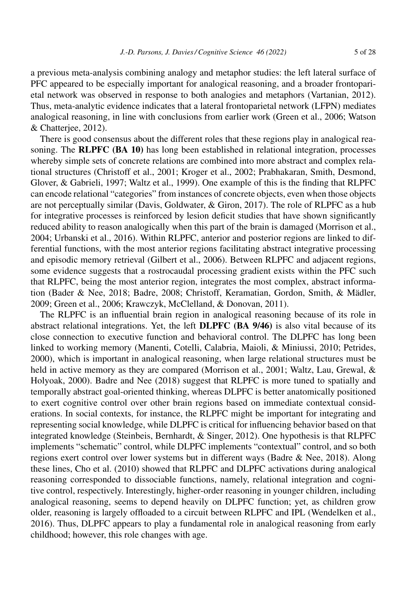a previous meta-analysis combining analogy and metaphor studies: the left lateral surface of PFC appeared to be especially important for analogical reasoning, and a broader frontoparietal network was observed in response to both analogies and metaphors (Vartanian, 2012). Thus, meta-analytic evidence indicates that a lateral frontoparietal network (LFPN) mediates analogical reasoning, in line with conclusions from earlier work (Green et al., 2006; Watson & Chatterjee, 2012).

There is good consensus about the different roles that these regions play in analogical reasoning. The **RLPFC (BA 10)** has long been established in relational integration, processes whereby simple sets of concrete relations are combined into more abstract and complex relational structures (Christoff et al., 2001; Kroger et al., 2002; Prabhakaran, Smith, Desmond, Glover, & Gabrieli, 1997; Waltz et al., 1999). One example of this is the finding that RLPFC can encode relational "categories" from instances of concrete objects, even when those objects are not perceptually similar (Davis, Goldwater, & Giron, 2017). The role of RLPFC as a hub for integrative processes is reinforced by lesion deficit studies that have shown significantly reduced ability to reason analogically when this part of the brain is damaged (Morrison et al., 2004; Urbanski et al., 2016). Within RLPFC, anterior and posterior regions are linked to differential functions, with the most anterior regions facilitating abstract integrative processing and episodic memory retrieval (Gilbert et al., 2006). Between RLPFC and adjacent regions, some evidence suggests that a rostrocaudal processing gradient exists within the PFC such that RLPFC, being the most anterior region, integrates the most complex, abstract information (Bader & Nee, 2018; Badre, 2008; Christoff, Keramatian, Gordon, Smith, & Mädler, 2009; Green et al., 2006; Krawczyk, McClelland, & Donovan, 2011).

The RLPFC is an influential brain region in analogical reasoning because of its role in abstract relational integrations. Yet, the left **DLPFC (BA 9/46)** is also vital because of its close connection to executive function and behavioral control. The DLPFC has long been linked to working memory (Manenti, Cotelli, Calabria, Maioli, & Miniussi, 2010; Petrides, 2000), which is important in analogical reasoning, when large relational structures must be held in active memory as they are compared (Morrison et al., 2001; Waltz, Lau, Grewal, & Holyoak, 2000). Badre and Nee (2018) suggest that RLPFC is more tuned to spatially and temporally abstract goal-oriented thinking, whereas DLPFC is better anatomically positioned to exert cognitive control over other brain regions based on immediate contextual considerations. In social contexts, for instance, the RLPFC might be important for integrating and representing social knowledge, while DLPFC is critical for influencing behavior based on that integrated knowledge (Steinbeis, Bernhardt, & Singer, 2012). One hypothesis is that RLPFC implements "schematic" control, while DLPFC implements "contextual" control, and so both regions exert control over lower systems but in different ways (Badre & Nee, 2018). Along these lines, Cho et al. (2010) showed that RLPFC and DLPFC activations during analogical reasoning corresponded to dissociable functions, namely, relational integration and cognitive control, respectively. Interestingly, higher-order reasoning in younger children, including analogical reasoning, seems to depend heavily on DLPFC function; yet, as children grow older, reasoning is largely offloaded to a circuit between RLPFC and IPL (Wendelken et al., 2016). Thus, DLPFC appears to play a fundamental role in analogical reasoning from early childhood; however, this role changes with age.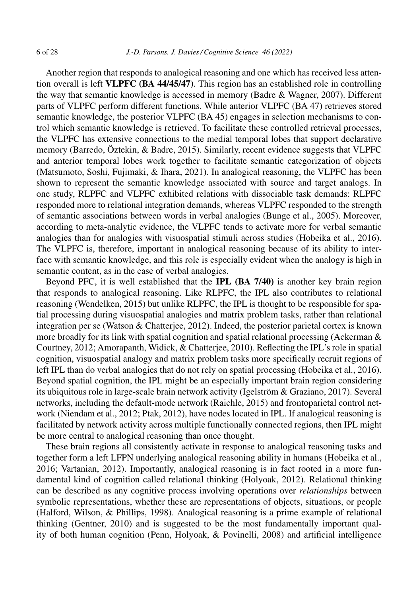Another region that responds to analogical reasoning and one which has received less attention overall is left **VLPFC (BA 44/45/47)**. This region has an established role in controlling the way that semantic knowledge is accessed in memory (Badre & Wagner, 2007). Different parts of VLPFC perform different functions. While anterior VLPFC (BA 47) retrieves stored semantic knowledge, the posterior VLPFC (BA 45) engages in selection mechanisms to control which semantic knowledge is retrieved. To facilitate these controlled retrieval processes, the VLPFC has extensive connections to the medial temporal lobes that support declarative memory (Barredo, Öztekin, & Badre, 2015). Similarly, recent evidence suggests that VLPFC and anterior temporal lobes work together to facilitate semantic categorization of objects (Matsumoto, Soshi, Fujimaki, & Ihara, 2021). In analogical reasoning, the VLPFC has been shown to represent the semantic knowledge associated with source and target analogs. In one study, RLPFC and VLPFC exhibited relations with dissociable task demands: RLPFC responded more to relational integration demands, whereas VLPFC responded to the strength of semantic associations between words in verbal analogies (Bunge et al., 2005). Moreover, according to meta-analytic evidence, the VLPFC tends to activate more for verbal semantic analogies than for analogies with visuospatial stimuli across studies (Hobeika et al., 2016). The VLPFC is, therefore, important in analogical reasoning because of its ability to interface with semantic knowledge, and this role is especially evident when the analogy is high in semantic content, as in the case of verbal analogies.

Beyond PFC, it is well established that the **IPL (BA 7/40)** is another key brain region that responds to analogical reasoning. Like RLPFC, the IPL also contributes to relational reasoning (Wendelken, 2015) but unlike RLPFC, the IPL is thought to be responsible for spatial processing during visuospatial analogies and matrix problem tasks, rather than relational integration per se (Watson & Chatterjee, 2012). Indeed, the posterior parietal cortex is known more broadly for its link with spatial cognition and spatial relational processing (Ackerman  $\&$ Courtney, 2012; Amorapanth, Widick, & Chatterjee, 2010). Reflecting the IPL's role in spatial cognition, visuospatial analogy and matrix problem tasks more specifically recruit regions of left IPL than do verbal analogies that do not rely on spatial processing (Hobeika et al., 2016). Beyond spatial cognition, the IPL might be an especially important brain region considering its ubiquitous role in large-scale brain network activity (Igelström & Graziano, 2017). Several networks, including the default-mode network (Raichle, 2015) and frontoparietal control network (Niendam et al., 2012; Ptak, 2012), have nodes located in IPL. If analogical reasoning is facilitated by network activity across multiple functionally connected regions, then IPL might be more central to analogical reasoning than once thought.

These brain regions all consistently activate in response to analogical reasoning tasks and together form a left LFPN underlying analogical reasoning ability in humans (Hobeika et al., 2016; Vartanian, 2012). Importantly, analogical reasoning is in fact rooted in a more fundamental kind of cognition called relational thinking (Holyoak, 2012). Relational thinking can be described as any cognitive process involving operations over *relationships* between symbolic representations, whether these are representations of objects, situations, or people (Halford, Wilson, & Phillips, 1998). Analogical reasoning is a prime example of relational thinking (Gentner, 2010) and is suggested to be the most fundamentally important quality of both human cognition (Penn, Holyoak, & Povinelli, 2008) and artificial intelligence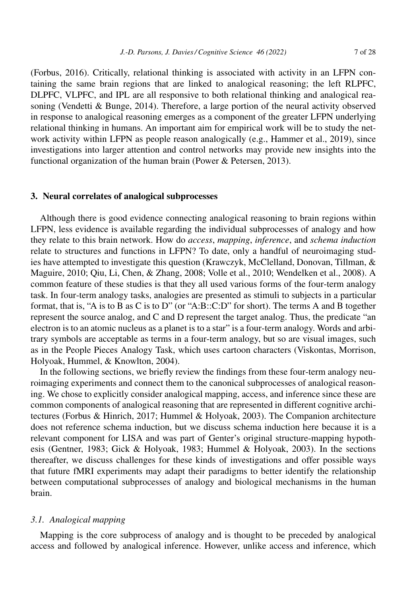(Forbus, 2016). Critically, relational thinking is associated with activity in an LFPN containing the same brain regions that are linked to analogical reasoning; the left RLPFC, DLPFC, VLPFC, and IPL are all responsive to both relational thinking and analogical reasoning (Vendetti  $\&$  Bunge, 2014). Therefore, a large portion of the neural activity observed in response to analogical reasoning emerges as a component of the greater LFPN underlying relational thinking in humans. An important aim for empirical work will be to study the network activity within LFPN as people reason analogically (e.g., Hammer et al., 2019), since investigations into larger attention and control networks may provide new insights into the functional organization of the human brain (Power & Petersen, 2013).

#### **3. Neural correlates of analogical subprocesses**

Although there is good evidence connecting analogical reasoning to brain regions within LFPN, less evidence is available regarding the individual subprocesses of analogy and how they relate to this brain network. How do *access*, *mapping*, *inference*, and *schema induction* relate to structures and functions in LFPN? To date, only a handful of neuroimaging studies have attempted to investigate this question (Krawczyk, McClelland, Donovan, Tillman, & Maguire, 2010; Qiu, Li, Chen, & Zhang, 2008; Volle et al., 2010; Wendelken et al., 2008). A common feature of these studies is that they all used various forms of the four-term analogy task. In four-term analogy tasks, analogies are presented as stimuli to subjects in a particular format, that is, "A is to B as C is to D" (or "A:B::C:D" for short). The terms A and B together represent the source analog, and C and D represent the target analog. Thus, the predicate "an electron is to an atomic nucleus as a planet is to a star" is a four-term analogy. Words and arbitrary symbols are acceptable as terms in a four-term analogy, but so are visual images, such as in the People Pieces Analogy Task, which uses cartoon characters (Viskontas, Morrison, Holyoak, Hummel, & Knowlton, 2004).

In the following sections, we briefly review the findings from these four-term analogy neuroimaging experiments and connect them to the canonical subprocesses of analogical reasoning. We chose to explicitly consider analogical mapping, access, and inference since these are common components of analogical reasoning that are represented in different cognitive architectures (Forbus & Hinrich, 2017; Hummel & Holyoak, 2003). The Companion architecture does not reference schema induction, but we discuss schema induction here because it is a relevant component for LISA and was part of Genter's original structure-mapping hypothesis (Gentner, 1983; Gick & Holyoak, 1983; Hummel & Holyoak, 2003). In the sections thereafter, we discuss challenges for these kinds of investigations and offer possible ways that future fMRI experiments may adapt their paradigms to better identify the relationship between computational subprocesses of analogy and biological mechanisms in the human brain.

#### *3.1. Analogical mapping*

Mapping is the core subprocess of analogy and is thought to be preceded by analogical access and followed by analogical inference. However, unlike access and inference, which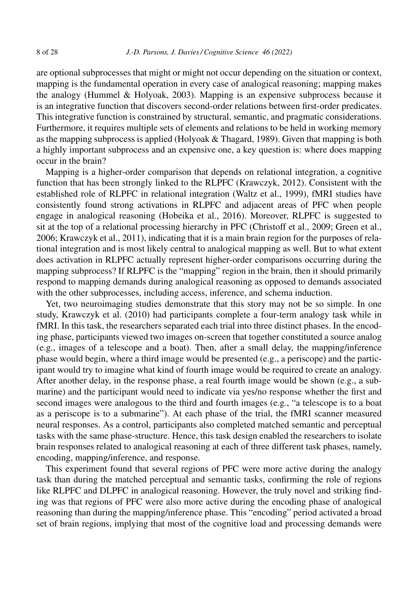are optional subprocesses that might or might not occur depending on the situation or context, mapping is the fundamental operation in every case of analogical reasoning; mapping makes the analogy (Hummel & Holyoak, 2003). Mapping is an expensive subprocess because it is an integrative function that discovers second-order relations between first-order predicates. This integrative function is constrained by structural, semantic, and pragmatic considerations. Furthermore, it requires multiple sets of elements and relations to be held in working memory as the mapping subprocess is applied (Holyoak & Thagard, 1989). Given that mapping is both a highly important subprocess and an expensive one, a key question is: where does mapping occur in the brain?

Mapping is a higher-order comparison that depends on relational integration, a cognitive function that has been strongly linked to the RLPFC (Krawczyk, 2012). Consistent with the established role of RLPFC in relational integration (Waltz et al., 1999), fMRI studies have consistently found strong activations in RLPFC and adjacent areas of PFC when people engage in analogical reasoning (Hobeika et al., 2016). Moreover, RLPFC is suggested to sit at the top of a relational processing hierarchy in PFC (Christoff et al., 2009; Green et al., 2006; Krawczyk et al., 2011), indicating that it is a main brain region for the purposes of relational integration and is most likely central to analogical mapping as well. But to what extent does activation in RLPFC actually represent higher-order comparisons occurring during the mapping subprocess? If RLPFC is the "mapping" region in the brain, then it should primarily respond to mapping demands during analogical reasoning as opposed to demands associated with the other subprocesses, including access, inference, and schema induction.

Yet, two neuroimaging studies demonstrate that this story may not be so simple. In one study, Krawczyk et al. (2010) had participants complete a four-term analogy task while in fMRI. In this task, the researchers separated each trial into three distinct phases. In the encoding phase, participants viewed two images on-screen that together constituted a source analog (e.g., images of a telescope and a boat). Then, after a small delay, the mapping/inference phase would begin, where a third image would be presented (e.g., a periscope) and the participant would try to imagine what kind of fourth image would be required to create an analogy. After another delay, in the response phase, a real fourth image would be shown (e.g., a submarine) and the participant would need to indicate via yes/no response whether the first and second images were analogous to the third and fourth images (e.g., "a telescope is to a boat as a periscope is to a submarine"). At each phase of the trial, the fMRI scanner measured neural responses. As a control, participants also completed matched semantic and perceptual tasks with the same phase-structure. Hence, this task design enabled the researchers to isolate brain responses related to analogical reasoning at each of three different task phases, namely, encoding, mapping/inference, and response.

This experiment found that several regions of PFC were more active during the analogy task than during the matched perceptual and semantic tasks, confirming the role of regions like RLPFC and DLPFC in analogical reasoning. However, the truly novel and striking finding was that regions of PFC were also more active during the encoding phase of analogical reasoning than during the mapping/inference phase. This "encoding" period activated a broad set of brain regions, implying that most of the cognitive load and processing demands were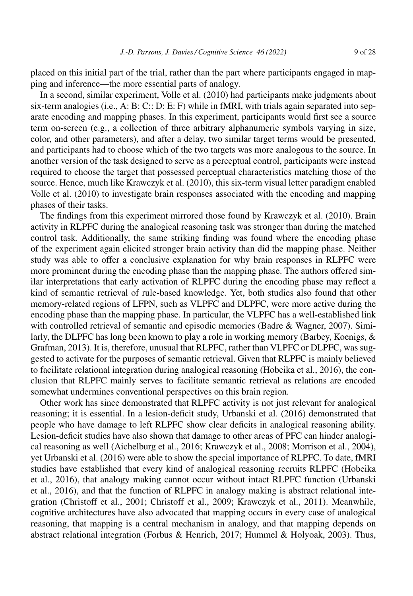placed on this initial part of the trial, rather than the part where participants engaged in mapping and inference—the more essential parts of analogy.

In a second, similar experiment, Volle et al. (2010) had participants make judgments about six-term analogies (i.e., A: B: C:: D: E: F) while in fMRI, with trials again separated into separate encoding and mapping phases. In this experiment, participants would first see a source term on-screen (e.g., a collection of three arbitrary alphanumeric symbols varying in size, color, and other parameters), and after a delay, two similar target terms would be presented, and participants had to choose which of the two targets was more analogous to the source. In another version of the task designed to serve as a perceptual control, participants were instead required to choose the target that possessed perceptual characteristics matching those of the source. Hence, much like Krawczyk et al. (2010), this six-term visual letter paradigm enabled Volle et al. (2010) to investigate brain responses associated with the encoding and mapping phases of their tasks.

The findings from this experiment mirrored those found by Krawczyk et al. (2010). Brain activity in RLPFC during the analogical reasoning task was stronger than during the matched control task. Additionally, the same striking finding was found where the encoding phase of the experiment again elicited stronger brain activity than did the mapping phase. Neither study was able to offer a conclusive explanation for why brain responses in RLPFC were more prominent during the encoding phase than the mapping phase. The authors offered similar interpretations that early activation of RLPFC during the encoding phase may reflect a kind of semantic retrieval of rule-based knowledge. Yet, both studies also found that other memory-related regions of LFPN, such as VLPFC and DLPFC, were more active during the encoding phase than the mapping phase. In particular, the VLPFC has a well-established link with controlled retrieval of semantic and episodic memories (Badre & Wagner, 2007). Similarly, the DLPFC has long been known to play a role in working memory (Barbey, Koenigs, & Grafman, 2013). It is, therefore, unusual that RLPFC, rather than VLPFC or DLPFC, was suggested to activate for the purposes of semantic retrieval. Given that RLPFC is mainly believed to facilitate relational integration during analogical reasoning (Hobeika et al., 2016), the conclusion that RLPFC mainly serves to facilitate semantic retrieval as relations are encoded somewhat undermines conventional perspectives on this brain region.

Other work has since demonstrated that RLPFC activity is not just relevant for analogical reasoning; it is essential. In a lesion-deficit study, Urbanski et al. (2016) demonstrated that people who have damage to left RLPFC show clear deficits in analogical reasoning ability. Lesion-deficit studies have also shown that damage to other areas of PFC can hinder analogical reasoning as well (Aichelburg et al., 2016; Krawczyk et al., 2008; Morrison et al., 2004), yet Urbanski et al. (2016) were able to show the special importance of RLPFC. To date, fMRI studies have established that every kind of analogical reasoning recruits RLPFC (Hobeika et al., 2016), that analogy making cannot occur without intact RLPFC function (Urbanski et al., 2016), and that the function of RLPFC in analogy making is abstract relational integration (Christoff et al., 2001; Christoff et al., 2009; Krawczyk et al., 2011). Meanwhile, cognitive architectures have also advocated that mapping occurs in every case of analogical reasoning, that mapping is a central mechanism in analogy, and that mapping depends on abstract relational integration (Forbus & Henrich, 2017; Hummel & Holyoak, 2003). Thus,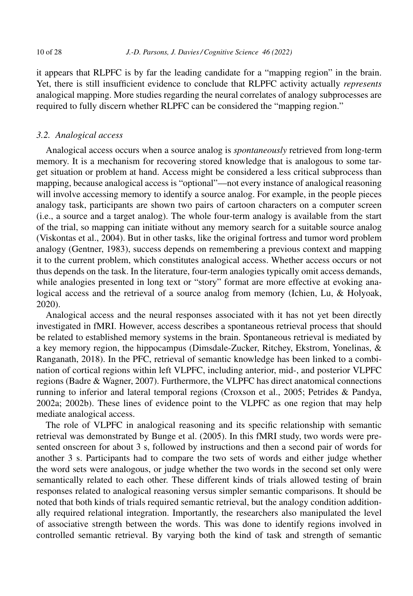it appears that RLPFC is by far the leading candidate for a "mapping region" in the brain. Yet, there is still insufficient evidence to conclude that RLPFC activity actually *represents* analogical mapping. More studies regarding the neural correlates of analogy subprocesses are required to fully discern whether RLPFC can be considered the "mapping region."

#### *3.2. Analogical access*

Analogical access occurs when a source analog is *spontaneously* retrieved from long-term memory. It is a mechanism for recovering stored knowledge that is analogous to some target situation or problem at hand. Access might be considered a less critical subprocess than mapping, because analogical access is "optional"––not every instance of analogical reasoning will involve accessing memory to identify a source analog. For example, in the people pieces analogy task, participants are shown two pairs of cartoon characters on a computer screen (i.e., a source and a target analog). The whole four-term analogy is available from the start of the trial, so mapping can initiate without any memory search for a suitable source analog (Viskontas et al., 2004). But in other tasks, like the original fortress and tumor word problem analogy (Gentner, 1983), success depends on remembering a previous context and mapping it to the current problem, which constitutes analogical access. Whether access occurs or not thus depends on the task. In the literature, four-term analogies typically omit access demands, while analogies presented in long text or "story" format are more effective at evoking analogical access and the retrieval of a source analog from memory (Ichien, Lu, & Holyoak, 2020).

Analogical access and the neural responses associated with it has not yet been directly investigated in fMRI. However, access describes a spontaneous retrieval process that should be related to established memory systems in the brain. Spontaneous retrieval is mediated by a key memory region, the hippocampus (Dimsdale-Zucker, Ritchey, Ekstrom, Yonelinas, & Ranganath, 2018). In the PFC, retrieval of semantic knowledge has been linked to a combination of cortical regions within left VLPFC, including anterior, mid-, and posterior VLPFC regions (Badre & Wagner, 2007). Furthermore, the VLPFC has direct anatomical connections running to inferior and lateral temporal regions (Croxson et al., 2005; Petrides & Pandya, 2002a; 2002b). These lines of evidence point to the VLPFC as one region that may help mediate analogical access.

The role of VLPFC in analogical reasoning and its specific relationship with semantic retrieval was demonstrated by Bunge et al. (2005). In this fMRI study, two words were presented onscreen for about 3 s, followed by instructions and then a second pair of words for another 3 s. Participants had to compare the two sets of words and either judge whether the word sets were analogous, or judge whether the two words in the second set only were semantically related to each other. These different kinds of trials allowed testing of brain responses related to analogical reasoning versus simpler semantic comparisons. It should be noted that both kinds of trials required semantic retrieval, but the analogy condition additionally required relational integration. Importantly, the researchers also manipulated the level of associative strength between the words. This was done to identify regions involved in controlled semantic retrieval. By varying both the kind of task and strength of semantic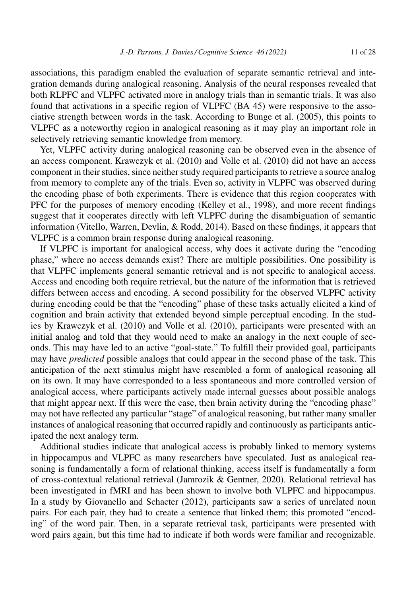associations, this paradigm enabled the evaluation of separate semantic retrieval and integration demands during analogical reasoning. Analysis of the neural responses revealed that both RLPFC and VLPFC activated more in analogy trials than in semantic trials. It was also found that activations in a specific region of VLPFC (BA 45) were responsive to the associative strength between words in the task. According to Bunge et al. (2005), this points to VLPFC as a noteworthy region in analogical reasoning as it may play an important role in selectively retrieving semantic knowledge from memory.

Yet, VLPFC activity during analogical reasoning can be observed even in the absence of an access component. Krawczyk et al. (2010) and Volle et al. (2010) did not have an access component in their studies, since neither study required participants to retrieve a source analog from memory to complete any of the trials. Even so, activity in VLPFC was observed during the encoding phase of both experiments. There is evidence that this region cooperates with PFC for the purposes of memory encoding (Kelley et al., 1998), and more recent findings suggest that it cooperates directly with left VLPFC during the disambiguation of semantic information (Vitello, Warren, Devlin, & Rodd, 2014). Based on these findings, it appears that VLPFC is a common brain response during analogical reasoning.

If VLPFC is important for analogical access, why does it activate during the "encoding phase," where no access demands exist? There are multiple possibilities. One possibility is that VLPFC implements general semantic retrieval and is not specific to analogical access. Access and encoding both require retrieval, but the nature of the information that is retrieved differs between access and encoding. A second possibility for the observed VLPFC activity during encoding could be that the "encoding" phase of these tasks actually elicited a kind of cognition and brain activity that extended beyond simple perceptual encoding. In the studies by Krawczyk et al. (2010) and Volle et al. (2010), participants were presented with an initial analog and told that they would need to make an analogy in the next couple of seconds. This may have led to an active "goal-state." To fulfill their provided goal, participants may have *predicted* possible analogs that could appear in the second phase of the task. This anticipation of the next stimulus might have resembled a form of analogical reasoning all on its own. It may have corresponded to a less spontaneous and more controlled version of analogical access, where participants actively made internal guesses about possible analogs that might appear next. If this were the case, then brain activity during the "encoding phase" may not have reflected any particular "stage" of analogical reasoning, but rather many smaller instances of analogical reasoning that occurred rapidly and continuously as participants anticipated the next analogy term.

Additional studies indicate that analogical access is probably linked to memory systems in hippocampus and VLPFC as many researchers have speculated. Just as analogical reasoning is fundamentally a form of relational thinking, access itself is fundamentally a form of cross-contextual relational retrieval (Jamrozik & Gentner, 2020). Relational retrieval has been investigated in fMRI and has been shown to involve both VLPFC and hippocampus. In a study by Giovanello and Schacter (2012), participants saw a series of unrelated noun pairs. For each pair, they had to create a sentence that linked them; this promoted "encoding" of the word pair. Then, in a separate retrieval task, participants were presented with word pairs again, but this time had to indicate if both words were familiar and recognizable.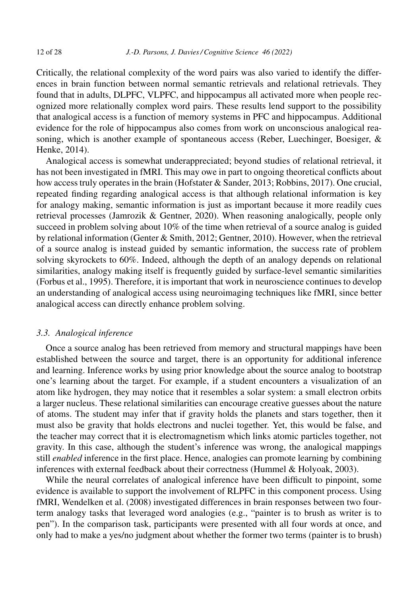Critically, the relational complexity of the word pairs was also varied to identify the differences in brain function between normal semantic retrievals and relational retrievals. They found that in adults, DLPFC, VLPFC, and hippocampus all activated more when people recognized more relationally complex word pairs. These results lend support to the possibility that analogical access is a function of memory systems in PFC and hippocampus. Additional evidence for the role of hippocampus also comes from work on unconscious analogical reasoning, which is another example of spontaneous access (Reber, Luechinger, Boesiger, & Henke, 2014).

Analogical access is somewhat underappreciated; beyond studies of relational retrieval, it has not been investigated in fMRI. This may owe in part to ongoing theoretical conflicts about how access truly operates in the brain (Hofstater & Sander, 2013; Robbins, 2017). One crucial, repeated finding regarding analogical access is that although relational information is key for analogy making, semantic information is just as important because it more readily cues retrieval processes (Jamrozik & Gentner, 2020). When reasoning analogically, people only succeed in problem solving about 10% of the time when retrieval of a source analog is guided by relational information (Genter & Smith, 2012; Gentner, 2010). However, when the retrieval of a source analog is instead guided by semantic information, the success rate of problem solving skyrockets to 60%. Indeed, although the depth of an analogy depends on relational similarities, analogy making itself is frequently guided by surface-level semantic similarities (Forbus et al., 1995). Therefore, it is important that work in neuroscience continues to develop an understanding of analogical access using neuroimaging techniques like fMRI, since better analogical access can directly enhance problem solving.

# *3.3. Analogical inference*

Once a source analog has been retrieved from memory and structural mappings have been established between the source and target, there is an opportunity for additional inference and learning. Inference works by using prior knowledge about the source analog to bootstrap one's learning about the target. For example, if a student encounters a visualization of an atom like hydrogen, they may notice that it resembles a solar system: a small electron orbits a larger nucleus. These relational similarities can encourage creative guesses about the nature of atoms. The student may infer that if gravity holds the planets and stars together, then it must also be gravity that holds electrons and nuclei together. Yet, this would be false, and the teacher may correct that it is electromagnetism which links atomic particles together, not gravity. In this case, although the student's inference was wrong, the analogical mappings still *enabled* inference in the first place. Hence, analogies can promote learning by combining inferences with external feedback about their correctness (Hummel & Holyoak, 2003).

While the neural correlates of analogical inference have been difficult to pinpoint, some evidence is available to support the involvement of RLPFC in this component process. Using fMRI, Wendelken et al. (2008) investigated differences in brain responses between two fourterm analogy tasks that leveraged word analogies (e.g., "painter is to brush as writer is to pen"). In the comparison task, participants were presented with all four words at once, and only had to make a yes/no judgment about whether the former two terms (painter is to brush)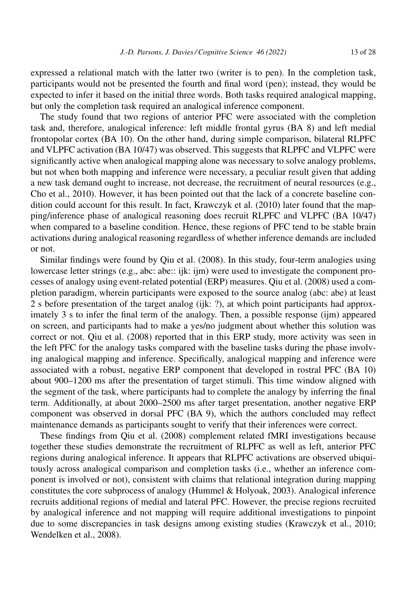expressed a relational match with the latter two (writer is to pen). In the completion task, participants would not be presented the fourth and final word (pen); instead, they would be expected to infer it based on the initial three words. Both tasks required analogical mapping, but only the completion task required an analogical inference component.

The study found that two regions of anterior PFC were associated with the completion task and, therefore, analogical inference: left middle frontal gyrus (BA 8) and left medial frontopolar cortex (BA 10). On the other hand, during simple comparison, bilateral RLPFC and VLPFC activation (BA 10/47) was observed. This suggests that RLPFC and VLPFC were significantly active when analogical mapping alone was necessary to solve analogy problems, but not when both mapping and inference were necessary, a peculiar result given that adding a new task demand ought to increase, not decrease, the recruitment of neural resources (e.g., Cho et al., 2010). However, it has been pointed out that the lack of a concrete baseline condition could account for this result. In fact, Krawczyk et al. (2010) later found that the mapping/inference phase of analogical reasoning does recruit RLPFC and VLPFC (BA 10/47) when compared to a baseline condition. Hence, these regions of PFC tend to be stable brain activations during analogical reasoning regardless of whether inference demands are included or not.

Similar findings were found by Qiu et al. (2008). In this study, four-term analogies using lowercase letter strings (e.g., abc: abe:: ijk: ijm) were used to investigate the component processes of analogy using event-related potential (ERP) measures. Qiu et al. (2008) used a completion paradigm, wherein participants were exposed to the source analog (abc: abe) at least 2 s before presentation of the target analog (ijk: ?), at which point participants had approximately 3 s to infer the final term of the analogy. Then, a possible response (ijm) appeared on screen, and participants had to make a yes/no judgment about whether this solution was correct or not. Qiu et al. (2008) reported that in this ERP study, more activity was seen in the left PFC for the analogy tasks compared with the baseline tasks during the phase involving analogical mapping and inference. Specifically, analogical mapping and inference were associated with a robust, negative ERP component that developed in rostral PFC (BA 10) about 900–1200 ms after the presentation of target stimuli. This time window aligned with the segment of the task, where participants had to complete the analogy by inferring the final term. Additionally, at about 2000–2500 ms after target presentation, another negative ERP component was observed in dorsal PFC (BA 9), which the authors concluded may reflect maintenance demands as participants sought to verify that their inferences were correct.

These findings from Qiu et al. (2008) complement related fMRI investigations because together these studies demonstrate the recruitment of RLPFC as well as left, anterior PFC regions during analogical inference. It appears that RLPFC activations are observed ubiquitously across analogical comparison and completion tasks (i.e., whether an inference component is involved or not), consistent with claims that relational integration during mapping constitutes the core subprocess of analogy (Hummel & Holyoak, 2003). Analogical inference recruits additional regions of medial and lateral PFC. However, the precise regions recruited by analogical inference and not mapping will require additional investigations to pinpoint due to some discrepancies in task designs among existing studies (Krawczyk et al., 2010; Wendelken et al., 2008).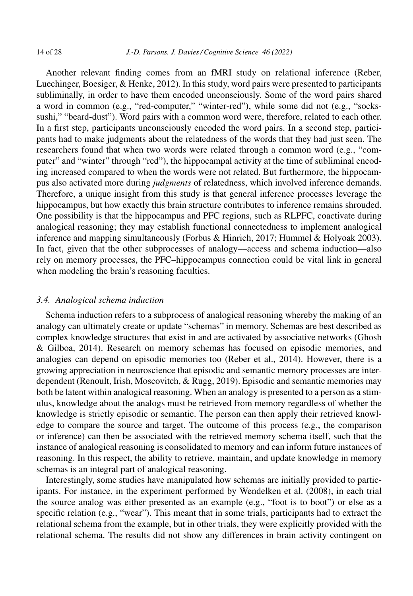Another relevant finding comes from an fMRI study on relational inference (Reber, Luechinger, Boesiger, & Henke, 2012). In this study, word pairs were presented to participants subliminally, in order to have them encoded unconsciously. Some of the word pairs shared a word in common (e.g., "red-computer," "winter-red"), while some did not (e.g., "sockssushi," "beard-dust"). Word pairs with a common word were, therefore, related to each other. In a first step, participants unconsciously encoded the word pairs. In a second step, participants had to make judgments about the relatedness of the words that they had just seen. The researchers found that when two words were related through a common word (e.g., "computer" and "winter" through "red"), the hippocampal activity at the time of subliminal encoding increased compared to when the words were not related. But furthermore, the hippocampus also activated more during *judgments* of relatedness, which involved inference demands. Therefore, a unique insight from this study is that general inference processes leverage the hippocampus, but how exactly this brain structure contributes to inference remains shrouded. One possibility is that the hippocampus and PFC regions, such as RLPFC, coactivate during analogical reasoning; they may establish functional connectedness to implement analogical inference and mapping simultaneously (Forbus & Hinrich, 2017; Hummel & Holyoak 2003). In fact, given that the other subprocesses of analogy––access and schema induction––also rely on memory processes, the PFC–hippocampus connection could be vital link in general when modeling the brain's reasoning faculties.

#### *3.4. Analogical schema induction*

Schema induction refers to a subprocess of analogical reasoning whereby the making of an analogy can ultimately create or update "schemas" in memory. Schemas are best described as complex knowledge structures that exist in and are activated by associative networks (Ghosh & Gilboa, 2014). Research on memory schemas has focused on episodic memories, and analogies can depend on episodic memories too (Reber et al., 2014). However, there is a growing appreciation in neuroscience that episodic and semantic memory processes are interdependent (Renoult, Irish, Moscovitch, & Rugg, 2019). Episodic and semantic memories may both be latent within analogical reasoning. When an analogy is presented to a person as a stimulus, knowledge about the analogs must be retrieved from memory regardless of whether the knowledge is strictly episodic or semantic. The person can then apply their retrieved knowledge to compare the source and target. The outcome of this process (e.g., the comparison or inference) can then be associated with the retrieved memory schema itself, such that the instance of analogical reasoning is consolidated to memory and can inform future instances of reasoning. In this respect, the ability to retrieve, maintain, and update knowledge in memory schemas is an integral part of analogical reasoning.

Interestingly, some studies have manipulated how schemas are initially provided to participants. For instance, in the experiment performed by Wendelken et al. (2008), in each trial the source analog was either presented as an example (e.g., "foot is to boot") or else as a specific relation (e.g., "wear"). This meant that in some trials, participants had to extract the relational schema from the example, but in other trials, they were explicitly provided with the relational schema. The results did not show any differences in brain activity contingent on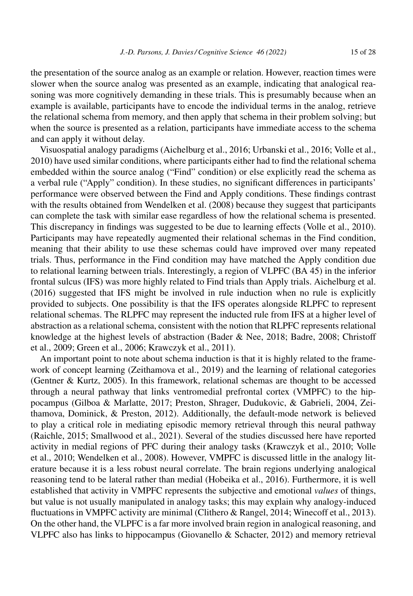the presentation of the source analog as an example or relation. However, reaction times were slower when the source analog was presented as an example, indicating that analogical reasoning was more cognitively demanding in these trials. This is presumably because when an example is available, participants have to encode the individual terms in the analog, retrieve the relational schema from memory, and then apply that schema in their problem solving; but when the source is presented as a relation, participants have immediate access to the schema and can apply it without delay.

Visuospatial analogy paradigms (Aichelburg et al., 2016; Urbanski et al., 2016; Volle et al., 2010) have used similar conditions, where participants either had to find the relational schema embedded within the source analog ("Find" condition) or else explicitly read the schema as a verbal rule ("Apply" condition). In these studies, no significant differences in participants' performance were observed between the Find and Apply conditions. These findings contrast with the results obtained from Wendelken et al. (2008) because they suggest that participants can complete the task with similar ease regardless of how the relational schema is presented. This discrepancy in findings was suggested to be due to learning effects (Volle et al., 2010). Participants may have repeatedly augmented their relational schemas in the Find condition, meaning that their ability to use these schemas could have improved over many repeated trials. Thus, performance in the Find condition may have matched the Apply condition due to relational learning between trials. Interestingly, a region of VLPFC (BA 45) in the inferior frontal sulcus (IFS) was more highly related to Find trials than Apply trials. Aichelburg et al. (2016) suggested that IFS might be involved in rule induction when no rule is explicitly provided to subjects. One possibility is that the IFS operates alongside RLPFC to represent relational schemas. The RLPFC may represent the inducted rule from IFS at a higher level of abstraction as a relational schema, consistent with the notion that RLPFC represents relational knowledge at the highest levels of abstraction (Bader & Nee, 2018; Badre, 2008; Christoff et al., 2009; Green et al., 2006; Krawczyk et al., 2011).

An important point to note about schema induction is that it is highly related to the framework of concept learning (Zeithamova et al., 2019) and the learning of relational categories (Gentner & Kurtz, 2005). In this framework, relational schemas are thought to be accessed through a neural pathway that links ventromedial prefrontal cortex (VMPFC) to the hippocampus (Gilboa & Marlatte, 2017; Preston, Shrager, Dudukovic, & Gabrieli, 2004, Zeithamova, Dominick, & Preston, 2012). Additionally, the default-mode network is believed to play a critical role in mediating episodic memory retrieval through this neural pathway (Raichle, 2015; Smallwood et al., 2021). Several of the studies discussed here have reported activity in medial regions of PFC during their analogy tasks (Krawczyk et al., 2010; Volle et al., 2010; Wendelken et al., 2008). However, VMPFC is discussed little in the analogy literature because it is a less robust neural correlate. The brain regions underlying analogical reasoning tend to be lateral rather than medial (Hobeika et al., 2016). Furthermore, it is well established that activity in VMPFC represents the subjective and emotional *values* of things, but value is not usually manipulated in analogy tasks; this may explain why analogy-induced fluctuations in VMPFC activity are minimal (Clithero & Rangel, 2014; Winecoff et al., 2013). On the other hand, the VLPFC is a far more involved brain region in analogical reasoning, and VLPFC also has links to hippocampus (Giovanello & Schacter, 2012) and memory retrieval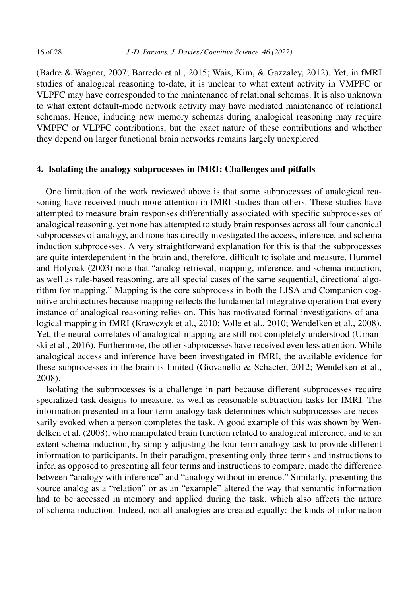(Badre & Wagner, 2007; Barredo et al., 2015; Wais, Kim, & Gazzaley, 2012). Yet, in fMRI studies of analogical reasoning to-date, it is unclear to what extent activity in VMPFC or VLPFC may have corresponded to the maintenance of relational schemas. It is also unknown to what extent default-mode network activity may have mediated maintenance of relational schemas. Hence, inducing new memory schemas during analogical reasoning may require VMPFC or VLPFC contributions, but the exact nature of these contributions and whether they depend on larger functional brain networks remains largely unexplored.

#### **4. Isolating the analogy subprocesses in fMRI: Challenges and pitfalls**

One limitation of the work reviewed above is that some subprocesses of analogical reasoning have received much more attention in fMRI studies than others. These studies have attempted to measure brain responses differentially associated with specific subprocesses of analogical reasoning, yet none has attempted to study brain responses across all four canonical subprocesses of analogy, and none has directly investigated the access, inference, and schema induction subprocesses. A very straightforward explanation for this is that the subprocesses are quite interdependent in the brain and, therefore, difficult to isolate and measure. Hummel and Holyoak (2003) note that "analog retrieval, mapping, inference, and schema induction, as well as rule-based reasoning, are all special cases of the same sequential, directional algorithm for mapping." Mapping is the core subprocess in both the LISA and Companion cognitive architectures because mapping reflects the fundamental integrative operation that every instance of analogical reasoning relies on. This has motivated formal investigations of analogical mapping in fMRI (Krawczyk et al., 2010; Volle et al., 2010; Wendelken et al., 2008). Yet, the neural correlates of analogical mapping are still not completely understood (Urbanski et al., 2016). Furthermore, the other subprocesses have received even less attention. While analogical access and inference have been investigated in fMRI, the available evidence for these subprocesses in the brain is limited (Giovanello & Schacter, 2012; Wendelken et al., 2008).

Isolating the subprocesses is a challenge in part because different subprocesses require specialized task designs to measure, as well as reasonable subtraction tasks for fMRI. The information presented in a four-term analogy task determines which subprocesses are necessarily evoked when a person completes the task. A good example of this was shown by Wendelken et al. (2008), who manipulated brain function related to analogical inference, and to an extent schema induction, by simply adjusting the four-term analogy task to provide different information to participants. In their paradigm, presenting only three terms and instructions to infer, as opposed to presenting all four terms and instructions to compare, made the difference between "analogy with inference" and "analogy without inference." Similarly, presenting the source analog as a "relation" or as an "example" altered the way that semantic information had to be accessed in memory and applied during the task, which also affects the nature of schema induction. Indeed, not all analogies are created equally: the kinds of information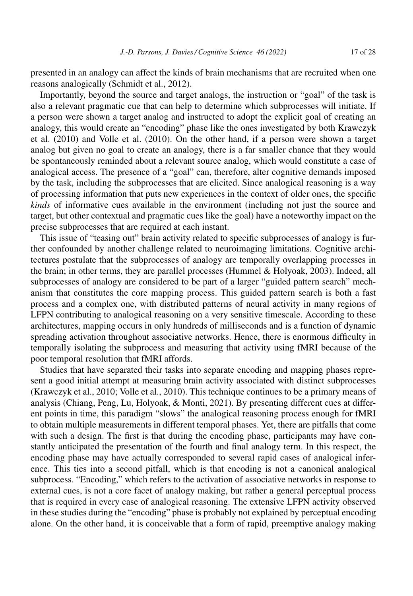presented in an analogy can affect the kinds of brain mechanisms that are recruited when one reasons analogically (Schmidt et al., 2012).

Importantly, beyond the source and target analogs, the instruction or "goal" of the task is also a relevant pragmatic cue that can help to determine which subprocesses will initiate. If a person were shown a target analog and instructed to adopt the explicit goal of creating an analogy, this would create an "encoding" phase like the ones investigated by both Krawczyk et al. (2010) and Volle et al. (2010). On the other hand, if a person were shown a target analog but given no goal to create an analogy, there is a far smaller chance that they would be spontaneously reminded about a relevant source analog, which would constitute a case of analogical access. The presence of a "goal" can, therefore, alter cognitive demands imposed by the task, including the subprocesses that are elicited. Since analogical reasoning is a way of processing information that puts new experiences in the context of older ones, the specific *kinds* of informative cues available in the environment (including not just the source and target, but other contextual and pragmatic cues like the goal) have a noteworthy impact on the precise subprocesses that are required at each instant.

This issue of "teasing out" brain activity related to specific subprocesses of analogy is further confounded by another challenge related to neuroimaging limitations. Cognitive architectures postulate that the subprocesses of analogy are temporally overlapping processes in the brain; in other terms, they are parallel processes (Hummel & Holyoak, 2003). Indeed, all subprocesses of analogy are considered to be part of a larger "guided pattern search" mechanism that constitutes the core mapping process. This guided pattern search is both a fast process and a complex one, with distributed patterns of neural activity in many regions of LFPN contributing to analogical reasoning on a very sensitive timescale. According to these architectures, mapping occurs in only hundreds of milliseconds and is a function of dynamic spreading activation throughout associative networks. Hence, there is enormous difficulty in temporally isolating the subprocess and measuring that activity using fMRI because of the poor temporal resolution that fMRI affords.

Studies that have separated their tasks into separate encoding and mapping phases represent a good initial attempt at measuring brain activity associated with distinct subprocesses (Krawczyk et al., 2010; Volle et al., 2010). This technique continues to be a primary means of analysis (Chiang, Peng, Lu, Holyoak, & Monti, 2021). By presenting different cues at different points in time, this paradigm "slows" the analogical reasoning process enough for fMRI to obtain multiple measurements in different temporal phases. Yet, there are pitfalls that come with such a design. The first is that during the encoding phase, participants may have constantly anticipated the presentation of the fourth and final analogy term. In this respect, the encoding phase may have actually corresponded to several rapid cases of analogical inference. This ties into a second pitfall, which is that encoding is not a canonical analogical subprocess. "Encoding," which refers to the activation of associative networks in response to external cues, is not a core facet of analogy making, but rather a general perceptual process that is required in every case of analogical reasoning. The extensive LFPN activity observed in these studies during the "encoding" phase is probably not explained by perceptual encoding alone. On the other hand, it is conceivable that a form of rapid, preemptive analogy making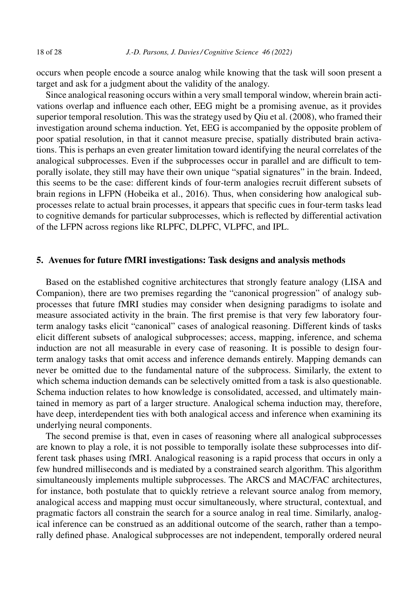occurs when people encode a source analog while knowing that the task will soon present a target and ask for a judgment about the validity of the analogy.

Since analogical reasoning occurs within a very small temporal window, wherein brain activations overlap and influence each other, EEG might be a promising avenue, as it provides superior temporal resolution. This was the strategy used by Qiu et al. (2008), who framed their investigation around schema induction. Yet, EEG is accompanied by the opposite problem of poor spatial resolution, in that it cannot measure precise, spatially distributed brain activations. This is perhaps an even greater limitation toward identifying the neural correlates of the analogical subprocesses. Even if the subprocesses occur in parallel and are difficult to temporally isolate, they still may have their own unique "spatial signatures" in the brain. Indeed, this seems to be the case: different kinds of four-term analogies recruit different subsets of brain regions in LFPN (Hobeika et al., 2016). Thus, when considering how analogical subprocesses relate to actual brain processes, it appears that specific cues in four-term tasks lead to cognitive demands for particular subprocesses, which is reflected by differential activation of the LFPN across regions like RLPFC, DLPFC, VLPFC, and IPL.

# **5. Avenues for future fMRI investigations: Task designs and analysis methods**

Based on the established cognitive architectures that strongly feature analogy (LISA and Companion), there are two premises regarding the "canonical progression" of analogy subprocesses that future fMRI studies may consider when designing paradigms to isolate and measure associated activity in the brain. The first premise is that very few laboratory fourterm analogy tasks elicit "canonical" cases of analogical reasoning. Different kinds of tasks elicit different subsets of analogical subprocesses; access, mapping, inference, and schema induction are not all measurable in every case of reasoning. It is possible to design fourterm analogy tasks that omit access and inference demands entirely. Mapping demands can never be omitted due to the fundamental nature of the subprocess. Similarly, the extent to which schema induction demands can be selectively omitted from a task is also questionable. Schema induction relates to how knowledge is consolidated, accessed, and ultimately maintained in memory as part of a larger structure. Analogical schema induction may, therefore, have deep, interdependent ties with both analogical access and inference when examining its underlying neural components.

The second premise is that, even in cases of reasoning where all analogical subprocesses are known to play a role, it is not possible to temporally isolate these subprocesses into different task phases using fMRI. Analogical reasoning is a rapid process that occurs in only a few hundred milliseconds and is mediated by a constrained search algorithm. This algorithm simultaneously implements multiple subprocesses. The ARCS and MAC/FAC architectures, for instance, both postulate that to quickly retrieve a relevant source analog from memory, analogical access and mapping must occur simultaneously, where structural, contextual, and pragmatic factors all constrain the search for a source analog in real time. Similarly, analogical inference can be construed as an additional outcome of the search, rather than a temporally defined phase. Analogical subprocesses are not independent, temporally ordered neural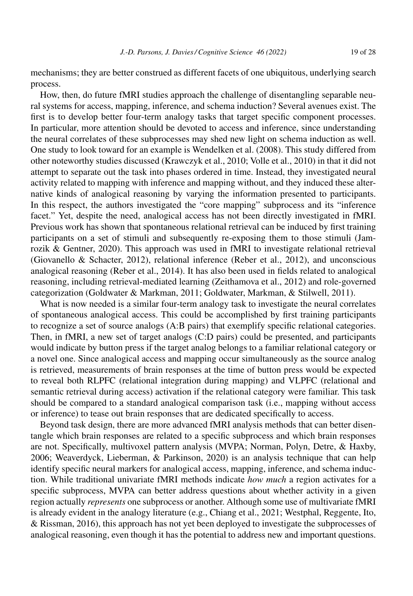mechanisms; they are better construed as different facets of one ubiquitous, underlying search process.

How, then, do future fMRI studies approach the challenge of disentangling separable neural systems for access, mapping, inference, and schema induction? Several avenues exist. The first is to develop better four-term analogy tasks that target specific component processes. In particular, more attention should be devoted to access and inference, since understanding the neural correlates of these subprocesses may shed new light on schema induction as well. One study to look toward for an example is Wendelken et al. (2008). This study differed from other noteworthy studies discussed (Krawczyk et al., 2010; Volle et al., 2010) in that it did not attempt to separate out the task into phases ordered in time. Instead, they investigated neural activity related to mapping with inference and mapping without, and they induced these alternative kinds of analogical reasoning by varying the information presented to participants. In this respect, the authors investigated the "core mapping" subprocess and its "inference facet." Yet, despite the need, analogical access has not been directly investigated in fMRI. Previous work has shown that spontaneous relational retrieval can be induced by first training participants on a set of stimuli and subsequently re-exposing them to those stimuli (Jamrozik & Gentner, 2020). This approach was used in fMRI to investigate relational retrieval (Giovanello & Schacter, 2012), relational inference (Reber et al., 2012), and unconscious analogical reasoning (Reber et al., 2014). It has also been used in fields related to analogical reasoning, including retrieval-mediated learning (Zeithamova et al., 2012) and role-governed categorization (Goldwater & Markman, 2011; Goldwater, Markman, & Stilwell, 2011).

What is now needed is a similar four-term analogy task to investigate the neural correlates of spontaneous analogical access. This could be accomplished by first training participants to recognize a set of source analogs (A:B pairs) that exemplify specific relational categories. Then, in fMRI, a new set of target analogs (C:D pairs) could be presented, and participants would indicate by button press if the target analog belongs to a familiar relational category or a novel one. Since analogical access and mapping occur simultaneously as the source analog is retrieved, measurements of brain responses at the time of button press would be expected to reveal both RLPFC (relational integration during mapping) and VLPFC (relational and semantic retrieval during access) activation if the relational category were familiar. This task should be compared to a standard analogical comparison task (i.e., mapping without access or inference) to tease out brain responses that are dedicated specifically to access.

Beyond task design, there are more advanced fMRI analysis methods that can better disentangle which brain responses are related to a specific subprocess and which brain responses are not. Specifically, multivoxel pattern analysis (MVPA; Norman, Polyn, Detre, & Haxby, 2006; Weaverdyck, Lieberman, & Parkinson, 2020) is an analysis technique that can help identify specific neural markers for analogical access, mapping, inference, and schema induction. While traditional univariate fMRI methods indicate *how much* a region activates for a specific subprocess, MVPA can better address questions about whether activity in a given region actually *represents* one subprocess or another. Although some use of multivariate fMRI is already evident in the analogy literature (e.g., Chiang et al., 2021; Westphal, Reggente, Ito, & Rissman, 2016), this approach has not yet been deployed to investigate the subprocesses of analogical reasoning, even though it has the potential to address new and important questions.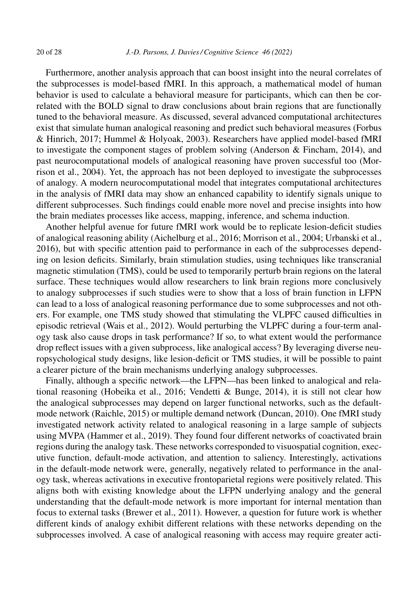Furthermore, another analysis approach that can boost insight into the neural correlates of the subprocesses is model-based fMRI. In this approach, a mathematical model of human behavior is used to calculate a behavioral measure for participants, which can then be correlated with the BOLD signal to draw conclusions about brain regions that are functionally tuned to the behavioral measure. As discussed, several advanced computational architectures exist that simulate human analogical reasoning and predict such behavioral measures (Forbus & Hinrich, 2017; Hummel & Holyoak, 2003). Researchers have applied model-based fMRI to investigate the component stages of problem solving (Anderson  $\&$  Fincham, 2014), and past neurocomputational models of analogical reasoning have proven successful too (Morrison et al., 2004). Yet, the approach has not been deployed to investigate the subprocesses of analogy. A modern neurocomputational model that integrates computational architectures in the analysis of fMRI data may show an enhanced capability to identify signals unique to different subprocesses. Such findings could enable more novel and precise insights into how the brain mediates processes like access, mapping, inference, and schema induction.

Another helpful avenue for future fMRI work would be to replicate lesion-deficit studies of analogical reasoning ability (Aichelburg et al., 2016; Morrison et al., 2004; Urbanski et al., 2016), but with specific attention paid to performance in each of the subprocesses depending on lesion deficits. Similarly, brain stimulation studies, using techniques like transcranial magnetic stimulation (TMS), could be used to temporarily perturb brain regions on the lateral surface. These techniques would allow researchers to link brain regions more conclusively to analogy subprocesses if such studies were to show that a loss of brain function in LFPN can lead to a loss of analogical reasoning performance due to some subprocesses and not others. For example, one TMS study showed that stimulating the VLPFC caused difficulties in episodic retrieval (Wais et al., 2012). Would perturbing the VLPFC during a four-term analogy task also cause drops in task performance? If so, to what extent would the performance drop reflect issues with a given subprocess, like analogical access? By leveraging diverse neuropsychological study designs, like lesion-deficit or TMS studies, it will be possible to paint a clearer picture of the brain mechanisms underlying analogy subprocesses.

Finally, although a specific network––the LFPN––has been linked to analogical and relational reasoning (Hobeika et al., 2016; Vendetti & Bunge, 2014), it is still not clear how the analogical subprocesses may depend on larger functional networks, such as the defaultmode network (Raichle, 2015) or multiple demand network (Duncan, 2010). One fMRI study investigated network activity related to analogical reasoning in a large sample of subjects using MVPA (Hammer et al., 2019). They found four different networks of coactivated brain regions during the analogy task. These networks corresponded to visuospatial cognition, executive function, default-mode activation, and attention to saliency. Interestingly, activations in the default-mode network were, generally, negatively related to performance in the analogy task, whereas activations in executive frontoparietal regions were positively related. This aligns both with existing knowledge about the LFPN underlying analogy and the general understanding that the default-mode network is more important for internal mentation than focus to external tasks (Brewer et al., 2011). However, a question for future work is whether different kinds of analogy exhibit different relations with these networks depending on the subprocesses involved. A case of analogical reasoning with access may require greater acti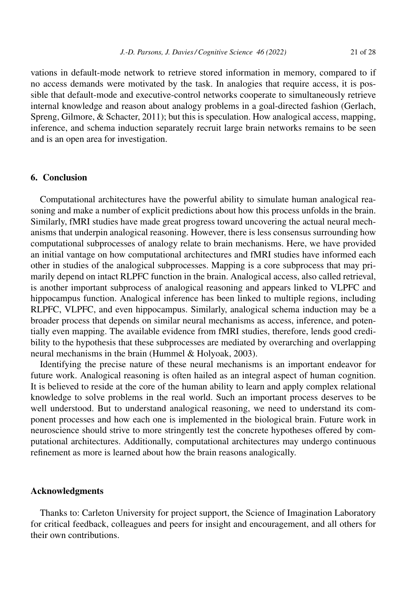vations in default-mode network to retrieve stored information in memory, compared to if no access demands were motivated by the task. In analogies that require access, it is possible that default-mode and executive-control networks cooperate to simultaneously retrieve internal knowledge and reason about analogy problems in a goal-directed fashion (Gerlach,

Spreng, Gilmore, & Schacter, 2011); but this is speculation. How analogical access, mapping, inference, and schema induction separately recruit large brain networks remains to be seen and is an open area for investigation.

# **6. Conclusion**

Computational architectures have the powerful ability to simulate human analogical reasoning and make a number of explicit predictions about how this process unfolds in the brain. Similarly, fMRI studies have made great progress toward uncovering the actual neural mechanisms that underpin analogical reasoning. However, there is less consensus surrounding how computational subprocesses of analogy relate to brain mechanisms. Here, we have provided an initial vantage on how computational architectures and fMRI studies have informed each other in studies of the analogical subprocesses. Mapping is a core subprocess that may primarily depend on intact RLPFC function in the brain. Analogical access, also called retrieval, is another important subprocess of analogical reasoning and appears linked to VLPFC and hippocampus function. Analogical inference has been linked to multiple regions, including RLPFC, VLPFC, and even hippocampus. Similarly, analogical schema induction may be a broader process that depends on similar neural mechanisms as access, inference, and potentially even mapping. The available evidence from fMRI studies, therefore, lends good credibility to the hypothesis that these subprocesses are mediated by overarching and overlapping neural mechanisms in the brain (Hummel & Holyoak, 2003).

Identifying the precise nature of these neural mechanisms is an important endeavor for future work. Analogical reasoning is often hailed as an integral aspect of human cognition. It is believed to reside at the core of the human ability to learn and apply complex relational knowledge to solve problems in the real world. Such an important process deserves to be well understood. But to understand analogical reasoning, we need to understand its component processes and how each one is implemented in the biological brain. Future work in neuroscience should strive to more stringently test the concrete hypotheses offered by computational architectures. Additionally, computational architectures may undergo continuous refinement as more is learned about how the brain reasons analogically.

# **Acknowledgments**

Thanks to: Carleton University for project support, the Science of Imagination Laboratory for critical feedback, colleagues and peers for insight and encouragement, and all others for their own contributions.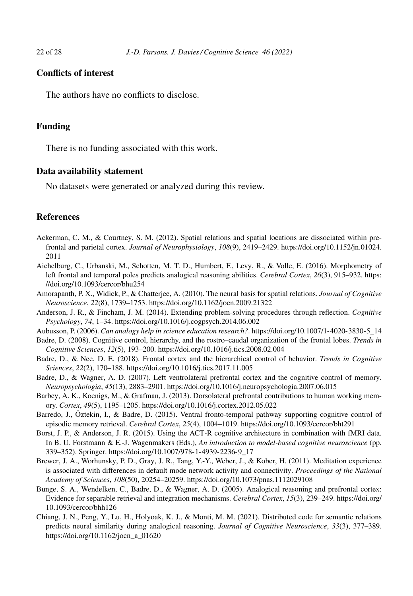# **Conflicts of interest**

The authors have no conflicts to disclose.

# **Funding**

There is no funding associated with this work.

# **Data availability statement**

No datasets were generated or analyzed during this review.

# **References**

- Ackerman, C. M., & Courtney, S. M. (2012). Spatial relations and spatial locations are dissociated within prefrontal and parietal cortex. *Journal of Neurophysiology*, *108*(9), 2419–2429. [https://doi.org/10.1152/jn.01024.](https://doi.org/10.1152/jn.01024.2011) [2011](https://doi.org/10.1152/jn.01024.2011)
- Aichelburg, C., Urbanski, M., Schotten, M. T. D., Humbert, F., Levy, R., & Volle, E. (2016). Morphometry of left frontal and temporal poles predicts analogical reasoning abilities. *Cerebral Cortex*, *26*(3), 915–932. [https:](https://doi.org/10.1093/cercor/bhu254) [//doi.org/10.1093/cercor/bhu254](https://doi.org/10.1093/cercor/bhu254)
- Amorapanth, P. X., Widick, P., & Chatterjee, A. (2010). The neural basis for spatial relations. *Journal of Cognitive Neuroscience*, *22*(8), 1739–1753.<https://doi.org/10.1162/jocn.2009.21322>
- Anderson, J. R., & Fincham, J. M. (2014). Extending problem-solving procedures through reflection. *Cognitive Psychology*, *74*, 1–34.<https://doi.org/10.1016/j.cogpsych.2014.06.002>
- Aubusson, P. (2006). *Can analogy help in science education research?*. [https://doi.org/10.1007/1-4020-3830-5\\_14](https://doi.org/10.1007/1-4020-3830-5_14)
- Badre, D. (2008). Cognitive control, hierarchy, and the rostro–caudal organization of the frontal lobes. *Trends in Cognitive Sciences*, *12*(5), 193–200.<https://doi.org/10.1016/j.tics.2008.02.004>
- Badre, D., & Nee, D. E. (2018). Frontal cortex and the hierarchical control of behavior. *Trends in Cognitive Sciences*, *22*(2), 170–188.<https://doi.org/10.1016/j.tics.2017.11.005>
- Badre, D., & Wagner, A. D. (2007). Left ventrolateral prefrontal cortex and the cognitive control of memory. *Neuropsychologia*, *45*(13), 2883–2901.<https://doi.org/10.1016/j.neuropsychologia.2007.06.015>
- Barbey, A. K., Koenigs, M., & Grafman, J. (2013). Dorsolateral prefrontal contributions to human working memory. *Cortex*, *49*(5), 1195–1205.<https://doi.org/10.1016/j.cortex.2012.05.022>
- Barredo, J., Öztekin, I., & Badre, D. (2015). Ventral fronto-temporal pathway supporting cognitive control of episodic memory retrieval. *Cerebral Cortex*, *25*(4), 1004–1019.<https://doi.org/10.1093/cercor/bht291>
- Borst, J. P., & Anderson, J. R. (2015). Using the ACT-R cognitive architecture in combination with fMRI data. In B. U. Forstmann & E.-J. Wagenmakers (Eds.), *An introduction to model-based cognitive neuroscience* (pp. 339–352). Springer. [https://doi.org/10.1007/978-1-4939-2236-9\\_17](https://doi.org/10.1007/978-1-4939-2236-9_17)
- Brewer, J. A., Worhunsky, P. D., Gray, J. R., Tang, Y.-Y., Weber, J., & Kober, H. (2011). Meditation experience is associated with differences in default mode network activity and connectivity. *Proceedings of the National Academy of Sciences*, *108*(50), 20254–20259.<https://doi.org/10.1073/pnas.1112029108>
- Bunge, S. A., Wendelken, C., Badre, D., & Wagner, A. D. (2005). Analogical reasoning and prefrontal cortex: Evidence for separable retrieval and integration mechanisms. *Cerebral Cortex*, *15*(3), 239–249. [https://doi.org/](https://doi.org/10.1093/cercor/bhh126) [10.1093/cercor/bhh126](https://doi.org/10.1093/cercor/bhh126)
- Chiang, J. N., Peng, Y., Lu, H., Holyoak, K. J., & Monti, M. M. (2021). Distributed code for semantic relations predicts neural similarity during analogical reasoning. *Journal of Cognitive Neuroscience*, *33*(3), 377–389. [https://doi.org/10.1162/jocn\\_a\\_01620](https://doi.org/10.1162/jocn_a_01620)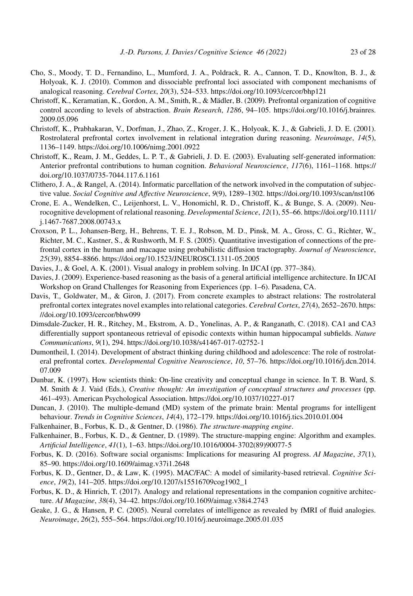- Cho, S., Moody, T. D., Fernandino, L., Mumford, J. A., Poldrack, R. A., Cannon, T. D., Knowlton, B. J., & Holyoak, K. J. (2010). Common and dissociable prefrontal loci associated with component mechanisms of analogical reasoning. *Cerebral Cortex*, *20*(3), 524–533.<https://doi.org/10.1093/cercor/bhp121>
- Christoff, K., Keramatian, K., Gordon, A. M., Smith, R., & Mädler, B. (2009). Prefrontal organization of cognitive control according to levels of abstraction. *Brain Research*, *1286*, 94–105. [https://doi.org/10.1016/j.brainres.](https://doi.org/10.1016/j.brainres.2009.05.096) [2009.05.096](https://doi.org/10.1016/j.brainres.2009.05.096)
- Christoff, K., Prabhakaran, V., Dorfman, J., Zhao, Z., Kroger, J. K., Holyoak, K. J., & Gabrieli, J. D. E. (2001). Rostrolateral prefrontal cortex involvement in relational integration during reasoning. *Neuroimage*, *14*(5), 1136–1149.<https://doi.org/10.1006/nimg.2001.0922>
- Christoff, K., Ream, J. M., Geddes, L. P. T., & Gabrieli, J. D. E. (2003). Evaluating self-generated information: Anterior prefrontal contributions to human cognition. *Behavioral Neuroscience*, *117*(6), 1161–1168. [https://](https://doi.org/10.1037/0735-7044.117.6.1161) [doi.org/10.1037/0735-7044.117.6.1161](https://doi.org/10.1037/0735-7044.117.6.1161)
- Clithero, J. A., & Rangel, A. (2014). Informatic parcellation of the network involved in the computation of subjective value. *Social Cognitive and Affective Neuroscience*, *9*(9), 1289–1302.<https://doi.org/10.1093/scan/nst106>
- Crone, E. A., Wendelken, C., Leijenhorst, L. V., Honomichl, R. D., Christoff, K., & Bunge, S. A. (2009). Neurocognitive development of relational reasoning. *Developmental Science*, *12*(1), 55–66. [https://doi.org/10.1111/](https://doi.org/10.1111/j.1467-7687.2008.00743.x) [j.1467-7687.2008.00743.x](https://doi.org/10.1111/j.1467-7687.2008.00743.x)
- Croxson, P. L., Johansen-Berg, H., Behrens, T. E. J., Robson, M. D., Pinsk, M. A., Gross, C. G., Richter, W., Richter, M. C., Kastner, S., & Rushworth, M. F. S. (2005). Quantitative investigation of connections of the prefrontal cortex in the human and macaque using probabilistic diffusion tractography. *Journal of Neuroscience*, *25*(39), 8854–8866.<https://doi.org/10.1523/JNEUROSCI.1311-05.2005>
- Davies, J., & Goel, A. K. (2001). Visual analogy in problem solving. In IJCAI (pp. 377–384).
- Davies, J. (2009). Experience-based reasoning as the basis of a general artificial intelligence architecture. In IJCAI Workshop on Grand Challenges for Reasoning from Experiences (pp. 1–6). Pasadena, CA.
- Davis, T., Goldwater, M., & Giron, J. (2017). From concrete examples to abstract relations: The rostrolateral prefrontal cortex integrates novel examples into relational categories. *Cerebral Cortex*, *27*(4), 2652–2670. [https:](https://doi.org/10.1093/cercor/bhw099) [//doi.org/10.1093/cercor/bhw099](https://doi.org/10.1093/cercor/bhw099)
- Dimsdale-Zucker, H. R., Ritchey, M., Ekstrom, A. D., Yonelinas, A. P., & Ranganath, C. (2018). CA1 and CA3 differentially support spontaneous retrieval of episodic contexts within human hippocampal subfields. *Nature Communications*, *9*(1), 294.<https://doi.org/10.1038/s41467-017-02752-1>
- Dumontheil, I. (2014). Development of abstract thinking during childhood and adolescence: The role of rostrolateral prefrontal cortex. *Developmental Cognitive Neuroscience*, *10*, 57–76. [https://doi.org/10.1016/j.dcn.2014.](https://doi.org/10.1016/j.dcn.2014.07.009) [07.009](https://doi.org/10.1016/j.dcn.2014.07.009)
- Dunbar, K. (1997). How scientists think: On-line creativity and conceptual change in science. In T. B. Ward, S. M. Smith & J. Vaid (Eds.), *Creative thought: An investigation of conceptual structures and processes* (pp. 461–493). American Psychological Association.<https://doi.org/10.1037/10227-017>
- Duncan, J. (2010). The multiple-demand (MD) system of the primate brain: Mental programs for intelligent behaviour. *Trends in Cognitive Sciences*, *14*(4), 172–179.<https://doi.org/10.1016/j.tics.2010.01.004>
- Falkenhainer, B., Forbus, K. D., & Gentner, D. (1986). *The structure-mapping engine*.
- Falkenhainer, B., Forbus, K. D., & Gentner, D. (1989). The structure-mapping engine: Algorithm and examples. *Artificial Intelligence*, *41*(1), 1–63. [https://doi.org/10.1016/0004-3702\(89\)90077-5](https://doi.org/10.1016/0004-3702(89)90077-5)
- Forbus, K. D. (2016). Software social organisms: Implications for measuring AI progress. *AI Magazine*, *37*(1), 85–90.<https://doi.org/10.1609/aimag.v37i1.2648>
- Forbus, K. D., Gentner, D., & Law, K. (1995). MAC/FAC: A model of similarity-based retrieval. *Cognitive Science*, *19*(2), 141–205. [https://doi.org/10.1207/s15516709cog1902\\_1](https://doi.org/10.1207/s15516709cog1902_1)
- Forbus, K. D., & Hinrich, T. (2017). Analogy and relational representations in the companion cognitive architecture. *AI Magazine*, *38*(4), 34–42.<https://doi.org/10.1609/aimag.v38i4.2743>
- Geake, J. G., & Hansen, P. C. (2005). Neural correlates of intelligence as revealed by fMRI of fluid analogies. *Neuroimage*, *26*(2), 555–564.<https://doi.org/10.1016/j.neuroimage.2005.01.035>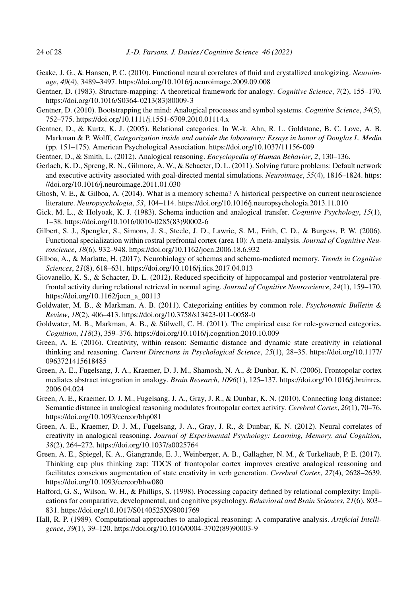- Geake, J. G., & Hansen, P. C. (2010). Functional neural correlates of fluid and crystallized analogizing. *Neuroimage*, *49*(4), 3489–3497.<https://doi.org/10.1016/j.neuroimage.2009.09.008>
- Gentner, D. (1983). Structure-mapping: A theoretical framework for analogy. *Cognitive Science*, *7*(2), 155–170. [https://doi.org/10.1016/S0364-0213\(83\)80009-3](https://doi.org/10.1016/S0364-0213(83)80009-3)
- Gentner, D. (2010). Bootstrapping the mind: Analogical processes and symbol systems. *Cognitive Science*, *34*(5), 752–775.<https://doi.org/10.1111/j.1551-6709.2010.01114.x>
- Gentner, D., & Kurtz, K. J. (2005). Relational categories. In W.-k. Ahn, R. L. Goldstone, B. C. Love, A. B. Markman & P. Wolff, *Categorization inside and outside the laboratory: Essays in honor of Douglas L. Medin* (pp. 151–175). American Psychological Association.<https://doi.org/10.1037/11156-009>
- Gentner, D., & Smith, L. (2012). Analogical reasoning. *Encyclopedia of Human Behavior*, *2*, 130–136.
- Gerlach, K. D., Spreng, R. N., Gilmore, A. W., & Schacter, D. L. (2011). Solving future problems: Default network and executive activity associated with goal-directed mental simulations. *Neuroimage*, *55*(4), 1816–1824. [https:](https://doi.org/10.1016/j.neuroimage.2011.01.030) [//doi.org/10.1016/j.neuroimage.2011.01.030](https://doi.org/10.1016/j.neuroimage.2011.01.030)
- Ghosh, V. E., & Gilboa, A. (2014). What is a memory schema? A historical perspective on current neuroscience literature. *Neuropsychologia*, *53*, 104–114.<https://doi.org/10.1016/j.neuropsychologia.2013.11.010>
- Gick, M. L., & Holyoak, K. J. (1983). Schema induction and analogical transfer. *Cognitive Psychology*, *15*(1), 1–38. [https://doi.org/10.1016/0010-0285\(83\)90002-6](https://doi.org/10.1016/0010-0285(83)90002-6)
- Gilbert, S. J., Spengler, S., Simons, J. S., Steele, J. D., Lawrie, S. M., Frith, C. D., & Burgess, P. W. (2006). Functional specialization within rostral prefrontal cortex (area 10): A meta-analysis. *Journal of Cognitive Neuroscience*, *18*(6), 932–948.<https://doi.org/10.1162/jocn.2006.18.6.932>
- Gilboa, A., & Marlatte, H. (2017). Neurobiology of schemas and schema-mediated memory. *Trends in Cognitive Sciences*, *21*(8), 618–631.<https://doi.org/10.1016/j.tics.2017.04.013>
- Giovanello, K. S., & Schacter, D. L. (2012). Reduced specificity of hippocampal and posterior ventrolateral prefrontal activity during relational retrieval in normal aging. *Journal of Cognitive Neuroscience*, *24*(1), 159–170. [https://doi.org/10.1162/jocn\\_a\\_00113](https://doi.org/10.1162/jocn_a_00113)
- Goldwater, M. B., & Markman, A. B. (2011). Categorizing entities by common role. *Psychonomic Bulletin & Review*, *18*(2), 406–413.<https://doi.org/10.3758/s13423-011-0058-0>
- Goldwater, M. B., Markman, A. B., & Stilwell, C. H. (2011). The empirical case for role-governed categories. *Cognition*, *118*(3), 359–376.<https://doi.org/10.1016/j.cognition.2010.10.009>
- Green, A. E. (2016). Creativity, within reason: Semantic distance and dynamic state creativity in relational thinking and reasoning. *Current Directions in Psychological Science*, *25*(1), 28–35. [https://doi.org/10.1177/](https://doi.org/10.1177/0963721415618485) [0963721415618485](https://doi.org/10.1177/0963721415618485)
- Green, A. E., Fugelsang, J. A., Kraemer, D. J. M., Shamosh, N. A., & Dunbar, K. N. (2006). Frontopolar cortex mediates abstract integration in analogy. *Brain Research*, *1096*(1), 125–137. [https://doi.org/10.1016/j.brainres.](https://doi.org/10.1016/j.brainres.2006.04.024) [2006.04.024](https://doi.org/10.1016/j.brainres.2006.04.024)
- Green, A. E., Kraemer, D. J. M., Fugelsang, J. A., Gray, J. R., & Dunbar, K. N. (2010). Connecting long distance: Semantic distance in analogical reasoning modulates frontopolar cortex activity. *Cerebral Cortex*, *20*(1), 70–76. <https://doi.org/10.1093/cercor/bhp081>
- Green, A. E., Kraemer, D. J. M., Fugelsang, J. A., Gray, J. R., & Dunbar, K. N. (2012). Neural correlates of creativity in analogical reasoning. *Journal of Experimental Psychology: Learning, Memory, and Cognition*, *38*(2), 264–272.<https://doi.org/10.1037/a0025764>
- Green, A. E., Spiegel, K. A., Giangrande, E. J., Weinberger, A. B., Gallagher, N. M., & Turkeltaub, P. E. (2017). Thinking cap plus thinking zap: TDCS of frontopolar cortex improves creative analogical reasoning and facilitates conscious augmentation of state creativity in verb generation. *Cerebral Cortex*, *27*(4), 2628–2639. <https://doi.org/10.1093/cercor/bhw080>
- Halford, G. S., Wilson, W. H., & Phillips, S. (1998). Processing capacity defined by relational complexity: Implications for comparative, developmental, and cognitive psychology. *Behavioral and Brain Sciences*, *21*(6), 803– 831.<https://doi.org/10.1017/S0140525X98001769>
- Hall, R. P. (1989). Computational approaches to analogical reasoning: A comparative analysis. *Artificial Intelligence*, *39*(1), 39–120. [https://doi.org/10.1016/0004-3702\(89\)90003-9](https://doi.org/10.1016/0004-3702(89)90003-9)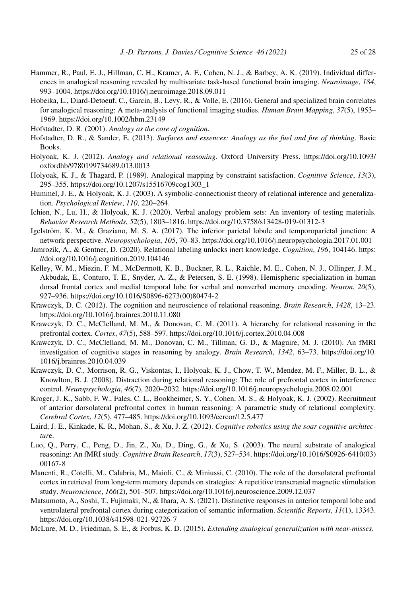- Hammer, R., Paul, E. J., Hillman, C. H., Kramer, A. F., Cohen, N. J., & Barbey, A. K. (2019). Individual differences in analogical reasoning revealed by multivariate task-based functional brain imaging. *Neuroimage*, *184*, 993–1004.<https://doi.org/10.1016/j.neuroimage.2018.09.011>
- Hobeika, L., Diard-Detoeuf, C., Garcin, B., Levy, R., & Volle, E. (2016). General and specialized brain correlates for analogical reasoning: A meta-analysis of functional imaging studies. *Human Brain Mapping*, *37*(5), 1953– 1969.<https://doi.org/10.1002/hbm.23149>
- Hofstadter, D. R. (2001). *Analogy as the core of cognition*.
- Hofstadter, D. R., & Sander, E. (2013). *Surfaces and essences: Analogy as the fuel and fire of thinking*. Basic Books.
- Holyoak, K. J. (2012). *Analogy and relational reasoning*. Oxford University Press. [https://doi.org/10.1093/](https://doi.org/10.1093/oxfordhb/9780199734689.013.0013) [oxfordhb/9780199734689.013.0013](https://doi.org/10.1093/oxfordhb/9780199734689.013.0013)
- Holyoak, K. J., & Thagard, P. (1989). Analogical mapping by constraint satisfaction. *Cognitive Science*, *13*(3), 295–355. [https://doi.org/10.1207/s15516709cog1303\\_1](https://doi.org/10.1207/s15516709cog1303_1)
- Hummel, J. E., & Holyoak, K. J. (2003). A symbolic-connectionist theory of relational inference and generalization. *Psychological Review*, *110*, 220–264.
- Ichien, N., Lu, H., & Holyoak, K. J. (2020). Verbal analogy problem sets: An inventory of testing materials. *Behavior Research Methods*, *52*(5), 1803–1816.<https://doi.org/10.3758/s13428-019-01312-3>
- Igelström, K. M., & Graziano, M. S. A. (2017). The inferior parietal lobule and temporoparietal junction: A network perspective. *Neuropsychologia*, *105*, 70–83.<https://doi.org/10.1016/j.neuropsychologia.2017.01.001>
- Jamrozik, A., & Gentner, D. (2020). Relational labeling unlocks inert knowledge. *Cognition*, *196*, 104146. [https:](https://doi.org/10.1016/j.cognition.2019.104146) [//doi.org/10.1016/j.cognition.2019.104146](https://doi.org/10.1016/j.cognition.2019.104146)
- Kelley, W. M., Miezin, F. M., McDermott, K. B., Buckner, R. L., Raichle, M. E., Cohen, N. J., Ollinger, J. M., Akbudak, E., Conturo, T. E., Snyder, A. Z., & Petersen, S. E. (1998). Hemispheric specialization in human dorsal frontal cortex and medial temporal lobe for verbal and nonverbal memory encoding. *Neuron*, *20*(5), 927–936. [https://doi.org/10.1016/S0896-6273\(00\)80474-2](https://doi.org/10.1016/S0896-6273(00)80474-2)
- Krawczyk, D. C. (2012). The cognition and neuroscience of relational reasoning. *Brain Research*, *1428*, 13–23. <https://doi.org/10.1016/j.brainres.2010.11.080>
- Krawczyk, D. C., McClelland, M. M., & Donovan, C. M. (2011). A hierarchy for relational reasoning in the prefrontal cortex. *Cortex*, *47*(5), 588–597.<https://doi.org/10.1016/j.cortex.2010.04.008>
- Krawczyk, D. C., McClelland, M. M., Donovan, C. M., Tillman, G. D., & Maguire, M. J. (2010). An fMRI investigation of cognitive stages in reasoning by analogy. *Brain Research*, *1342*, 63–73. [https://doi.org/10.](https://doi.org/10.1016/j.brainres.2010.04.039) [1016/j.brainres.2010.04.039](https://doi.org/10.1016/j.brainres.2010.04.039)
- Krawczyk, D. C., Morrison, R. G., Viskontas, I., Holyoak, K. J., Chow, T. W., Mendez, M. F., Miller, B. L., & Knowlton, B. J. (2008). Distraction during relational reasoning: The role of prefrontal cortex in interference control. *Neuropsychologia*, *46*(7), 2020–2032.<https://doi.org/10.1016/j.neuropsychologia.2008.02.001>
- Kroger, J. K., Sabb, F. W., Fales, C. L., Bookheimer, S. Y., Cohen, M. S., & Holyoak, K. J. (2002). Recruitment of anterior dorsolateral prefrontal cortex in human reasoning: A parametric study of relational complexity. *Cerebral Cortex*, *12*(5), 477–485.<https://doi.org/10.1093/cercor/12.5.477>
- Laird, J. E., Kinkade, K. R., Mohan, S., & Xu, J. Z. (2012). *Cognitive robotics using the soar cognitive architectur*e.
- Luo, Q., Perry, C., Peng, D., Jin, Z., Xu, D., Ding, G., & Xu, S. (2003). The neural substrate of analogical reasoning: An fMRI study. *Cognitive Brain Research*, *17*(3), 527–534. [https://doi.org/10.1016/S0926-6410\(03\)](https://doi.org/10.1016/S0926-6410(03)00167-8) [00167-8](https://doi.org/10.1016/S0926-6410(03)00167-8)
- Manenti, R., Cotelli, M., Calabria, M., Maioli, C., & Miniussi, C. (2010). The role of the dorsolateral prefrontal cortex in retrieval from long-term memory depends on strategies: A repetitive transcranial magnetic stimulation study. *Neuroscience*, *166*(2), 501–507.<https://doi.org/10.1016/j.neuroscience.2009.12.037>
- Matsumoto, A., Soshi, T., Fujimaki, N., & Ihara, A. S. (2021). Distinctive responses in anterior temporal lobe and ventrolateral prefrontal cortex during categorization of semantic information. *Scientific Reports*, *11*(1), 13343. <https://doi.org/10.1038/s41598-021-92726-7>
- McLure, M. D., Friedman, S. E., & Forbus, K. D. (2015). *Extending analogical generalization with near-misses*.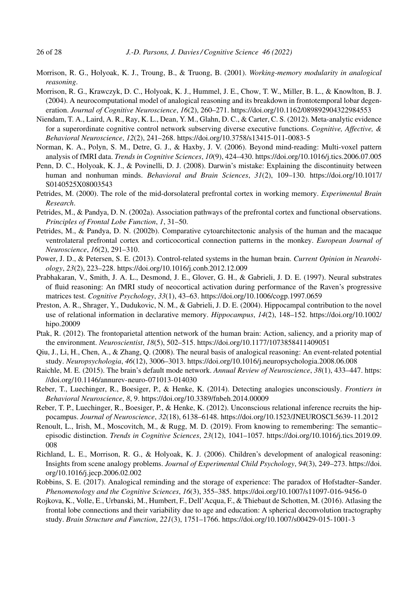- Morrison, R. G., Holyoak, K. J., Troung, B., & Truong, B. (2001). *Working-memory modularity in analogical reasoning*.
- Morrison, R. G., Krawczyk, D. C., Holyoak, K. J., Hummel, J. E., Chow, T. W., Miller, B. L., & Knowlton, B. J. (2004). A neurocomputational model of analogical reasoning and its breakdown in frontotemporal lobar degeneration. *Journal of Cognitive Neuroscience*, *16*(2), 260–271.<https://doi.org/10.1162/089892904322984553>
- Niendam, T. A., Laird, A. R., Ray, K. L., Dean, Y. M., Glahn, D. C., & Carter, C. S. (2012). Meta-analytic evidence for a superordinate cognitive control network subserving diverse executive functions. *Cognitive, Affective, & Behavioral Neuroscience*, *12*(2), 241–268.<https://doi.org/10.3758/s13415-011-0083-5>
- Norman, K. A., Polyn, S. M., Detre, G. J., & Haxby, J. V. (2006). Beyond mind-reading: Multi-voxel pattern analysis of fMRI data. *Trends in Cognitive Sciences*, *10*(9), 424–430.<https://doi.org/10.1016/j.tics.2006.07.005>
- Penn, D. C., Holyoak, K. J., & Povinelli, D. J. (2008). Darwin's mistake: Explaining the discontinuity between human and nonhuman minds. *Behavioral and Brain Sciences*, *31*(2), 109–130. [https://doi.org/10.1017/](https://doi.org/10.1017/S0140525X08003543) [S0140525X08003543](https://doi.org/10.1017/S0140525X08003543)
- Petrides, M. (2000). The role of the mid-dorsolateral prefrontal cortex in working memory. *Experimental Brain Research*.
- Petrides, M., & Pandya, D. N. (2002a). Association pathways of the prefrontal cortex and functional observations. *Principles of Frontal Lobe Function*, *1*, 31–50.
- Petrides, M., & Pandya, D. N. (2002b). Comparative cytoarchitectonic analysis of the human and the macaque ventrolateral prefrontal cortex and corticocortical connection patterns in the monkey. *European Journal of Neuroscience*, *16*(2), 291–310.
- Power, J. D., & Petersen, S. E. (2013). Control-related systems in the human brain. *Current Opinion in Neurobiology*, *23*(2), 223–228.<https://doi.org/10.1016/j.conb.2012.12.009>
- Prabhakaran, V., Smith, J. A. L., Desmond, J. E., Glover, G. H., & Gabrieli, J. D. E. (1997). Neural substrates of fluid reasoning: An fMRI study of neocortical activation during performance of the Raven's progressive matrices test. *Cognitive Psychology*, *33*(1), 43–63.<https://doi.org/10.1006/cogp.1997.0659>
- Preston, A. R., Shrager, Y., Dudukovic, N. M., & Gabrieli, J. D. E. (2004). Hippocampal contribution to the novel use of relational information in declarative memory. *Hippocampus*, *14*(2), 148–152. [https://doi.org/10.1002/](https://doi.org/10.1002/hipo.20009) [hipo.20009](https://doi.org/10.1002/hipo.20009)
- Ptak, R. (2012). The frontoparietal attention network of the human brain: Action, saliency, and a priority map of the environment. *Neuroscientist*, *18*(5), 502–515.<https://doi.org/10.1177/1073858411409051>
- Qiu, J., Li, H., Chen, A., & Zhang, Q. (2008). The neural basis of analogical reasoning: An event-related potential study. *Neuropsychologia*, *46*(12), 3006–3013.<https://doi.org/10.1016/j.neuropsychologia.2008.06.008>
- Raichle, M. E. (2015). The brain's default mode network. *Annual Review of Neuroscience*, *38*(1), 433–447. [https:](https://doi.org/10.1146/annurev-neuro-071013-014030) [//doi.org/10.1146/annurev-neuro-071013-014030](https://doi.org/10.1146/annurev-neuro-071013-014030)
- Reber, T., Luechinger, R., Boesiger, P., & Henke, K. (2014). Detecting analogies unconsciously. *Frontiers in Behavioral Neuroscience*, *8*, 9.<https://doi.org/10.3389/fnbeh.2014.00009>
- Reber, T. P., Luechinger, R., Boesiger, P., & Henke, K. (2012). Unconscious relational inference recruits the hippocampus. *Journal of Neuroscience*, *32*(18), 6138–6148.<https://doi.org/10.1523/JNEUROSCI.5639-11.2012>
- Renoult, L., Irish, M., Moscovitch, M., & Rugg, M. D. (2019). From knowing to remembering: The semantic– episodic distinction. *Trends in Cognitive Sciences*, *23*(12), 1041–1057. [https://doi.org/10.1016/j.tics.2019.09.](https://doi.org/10.1016/j.tics.2019.09.008) [008](https://doi.org/10.1016/j.tics.2019.09.008)
- Richland, L. E., Morrison, R. G., & Holyoak, K. J. (2006). Children's development of analogical reasoning: Insights from scene analogy problems. *Journal of Experimental Child Psychology*, *94*(3), 249–273. [https://doi.](https://doi.org/10.1016/j.jecp.2006.02.002) [org/10.1016/j.jecp.2006.02.002](https://doi.org/10.1016/j.jecp.2006.02.002)
- Robbins, S. E. (2017). Analogical reminding and the storage of experience: The paradox of Hofstadter–Sander. *Phenomenology and the Cognitive Sciences*, *16*(3), 355–385.<https://doi.org/10.1007/s11097-016-9456-0>
- Rojkova, K., Volle, E., Urbanski, M., Humbert, F., Dell'Acqua, F., & Thiebaut de Schotten, M. (2016). Atlasing the frontal lobe connections and their variability due to age and education: A spherical deconvolution tractography study. *Brain Structure and Function*, *221*(3), 1751–1766.<https://doi.org/10.1007/s00429-015-1001-3>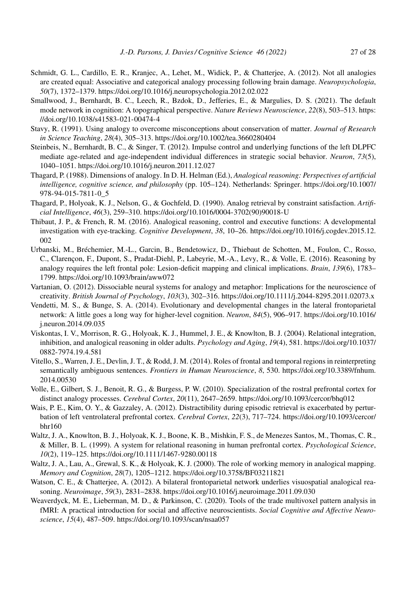- Schmidt, G. L., Cardillo, E. R., Kranjec, A., Lehet, M., Widick, P., & Chatterjee, A. (2012). Not all analogies are created equal: Associative and categorical analogy processing following brain damage. *Neuropsychologia*, *50*(7), 1372–1379.<https://doi.org/10.1016/j.neuropsychologia.2012.02.022>
- Smallwood, J., Bernhardt, B. C., Leech, R., Bzdok, D., Jefferies, E., & Margulies, D. S. (2021). The default mode network in cognition: A topographical perspective. *Nature Reviews Neuroscience*, *22*(8), 503–513. [https:](https://doi.org/10.1038/s41583-021-00474-4) [//doi.org/10.1038/s41583-021-00474-4](https://doi.org/10.1038/s41583-021-00474-4)
- Stavy, R. (1991). Using analogy to overcome misconceptions about conservation of matter. *Journal of Research in Science Teaching*, *28*(4), 305–313.<https://doi.org/10.1002/tea.3660280404>
- Steinbeis, N., Bernhardt, B. C., & Singer, T. (2012). Impulse control and underlying functions of the left DLPFC mediate age-related and age-independent individual differences in strategic social behavior. *Neuron*, *73*(5), 1040–1051.<https://doi.org/10.1016/j.neuron.2011.12.027>
- Thagard, P. (1988). Dimensions of analogy. In D. H. Helman (Ed.), *Analogical reasoning: Perspectives of artificial intelligence, cognitive science, and philosophy* (pp. 105–124). Netherlands: Springer. [https://doi.org/10.1007/](https://doi.org/10.1007/978-94-015-7811-0_5) [978-94-015-7811-0\\_5](https://doi.org/10.1007/978-94-015-7811-0_5)
- Thagard, P., Holyoak, K. J., Nelson, G., & Gochfeld, D. (1990). Analog retrieval by constraint satisfaction. *Artificial Intelligence*, *46*(3), 259–310. [https://doi.org/10.1016/0004-3702\(90\)90018-U](https://doi.org/10.1016/0004-3702(90)90018-U)
- Thibaut, J. P., & French, R. M. (2016). Analogical reasoning, control and executive functions: A developmental investigation with eye-tracking. *Cognitive Development*, *38*, 10–26. [https://doi.org/10.1016/j.cogdev.2015.12.](https://doi.org/10.1016/j.cogdev.2015.12.002) [002](https://doi.org/10.1016/j.cogdev.2015.12.002)
- Urbanski, M., Bréchemier, M.-L., Garcin, B., Bendetowicz, D., Thiebaut de Schotten, M., Foulon, C., Rosso, C., Clarençon, F., Dupont, S., Pradat-Diehl, P., Labeyrie, M.-A., Levy, R., & Volle, E. (2016). Reasoning by analogy requires the left frontal pole: Lesion-deficit mapping and clinical implications. *Brain*, *139*(6), 1783– 1799.<https://doi.org/10.1093/brain/aww072>
- Vartanian, O. (2012). Dissociable neural systems for analogy and metaphor: Implications for the neuroscience of creativity. *British Journal of Psychology*, *103*(3), 302–316.<https://doi.org/10.1111/j.2044-8295.2011.02073.x>
- Vendetti, M. S., & Bunge, S. A. (2014). Evolutionary and developmental changes in the lateral frontoparietal network: A little goes a long way for higher-level cognition. *Neuron*, *84*(5), 906–917. [https://doi.org/10.1016/](https://doi.org/10.1016/j.neuron.2014.09.035) [j.neuron.2014.09.035](https://doi.org/10.1016/j.neuron.2014.09.035)
- Viskontas, I. V., Morrison, R. G., Holyoak, K. J., Hummel, J. E., & Knowlton, B. J. (2004). Relational integration, inhibition, and analogical reasoning in older adults. *Psychology and Aging*, *19*(4), 581. [https://doi.org/10.1037/](https://doi.org/10.1037/0882-7974.19.4.581) [0882-7974.19.4.581](https://doi.org/10.1037/0882-7974.19.4.581)
- Vitello, S., Warren, J. E., Devlin, J. T., & Rodd, J. M. (2014). Roles of frontal and temporal regions in reinterpreting semantically ambiguous sentences. *Frontiers in Human Neuroscience*, *8*, 530. [https://doi.org/10.3389/fnhum.](https://doi.org/10.3389/fnhum.2014.00530) [2014.00530](https://doi.org/10.3389/fnhum.2014.00530)
- Volle, E., Gilbert, S. J., Benoit, R. G., & Burgess, P. W. (2010). Specialization of the rostral prefrontal cortex for distinct analogy processes. *Cerebral Cortex*, *20*(11), 2647–2659.<https://doi.org/10.1093/cercor/bhq012>
- Wais, P. E., Kim, O. Y., & Gazzaley, A. (2012). Distractibility during episodic retrieval is exacerbated by perturbation of left ventrolateral prefrontal cortex. *Cerebral Cortex*, *22*(3), 717–724. [https://doi.org/10.1093/cercor/](https://doi.org/10.1093/cercor/bhr160) [bhr160](https://doi.org/10.1093/cercor/bhr160)
- Waltz, J. A., Knowlton, B. J., Holyoak, K. J., Boone, K. B., Mishkin, F. S., de Menezes Santos, M., Thomas, C. R., & Miller, B. L. (1999). A system for relational reasoning in human prefrontal cortex. *Psychological Science*, *10*(2), 119–125.<https://doi.org/10.1111/1467-9280.00118>
- Waltz, J. A., Lau, A., Grewal, S. K., & Holyoak, K. J. (2000). The role of working memory in analogical mapping. *Memory and Cognition*, *28*(7), 1205–1212.<https://doi.org/10.3758/BF03211821>
- Watson, C. E., & Chatterjee, A. (2012). A bilateral frontoparietal network underlies visuospatial analogical reasoning. *Neuroimage*, *59*(3), 2831–2838.<https://doi.org/10.1016/j.neuroimage.2011.09.030>
- Weaverdyck, M. E., Lieberman, M. D., & Parkinson, C. (2020). Tools of the trade multivoxel pattern analysis in fMRI: A practical introduction for social and affective neuroscientists. *Social Cognitive and Affective Neuroscience*, *15*(4), 487–509.<https://doi.org/10.1093/scan/nsaa057>